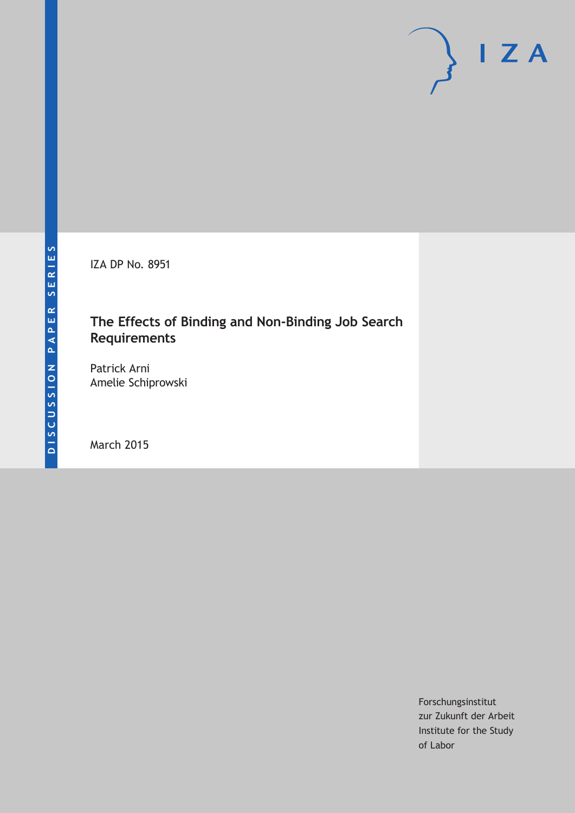IZA DP No. 8951

## **The Effects of Binding and Non-Binding Job Search Requirements**

Patrick Arni Amelie Schiprowski

March 2015

Forschungsinstitut zur Zukunft der Arbeit Institute for the Study of Labor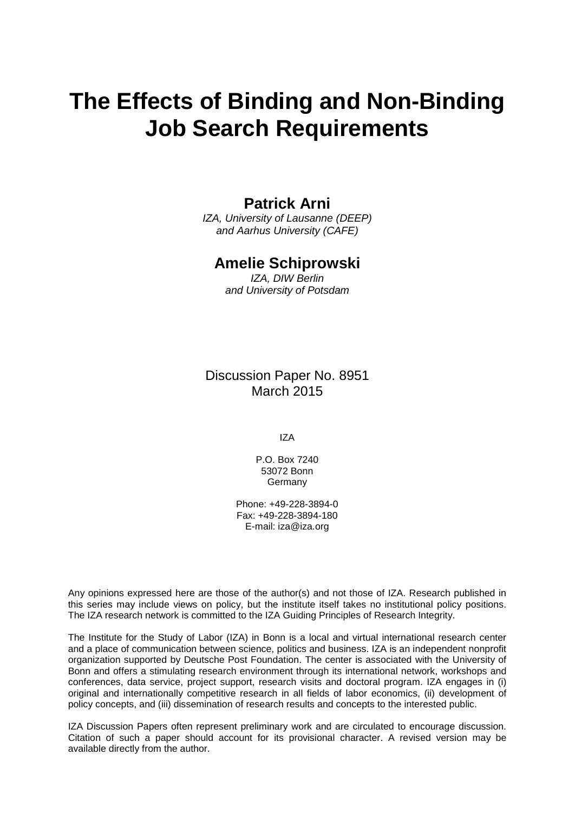# **The Effects of Binding and Non-Binding Job Search Requirements**

## **Patrick Arni**

*IZA, University of Lausanne (DEEP) and Aarhus University (CAFE)*

## **Amelie Schiprowski**

*IZA, DIW Berlin and University of Potsdam*

Discussion Paper No. 8951 March 2015

IZA

P.O. Box 7240 53072 Bonn Germany

Phone: +49-228-3894-0 Fax: +49-228-3894-180 E-mail: iza@iza.org

Any opinions expressed here are those of the author(s) and not those of IZA. Research published in this series may include views on policy, but the institute itself takes no institutional policy positions. The IZA research network is committed to the IZA Guiding Principles of Research Integrity.

<span id="page-1-0"></span>The Institute for the Study of Labor (IZA) in Bonn is a local and virtual international research center and a place of communication between science, politics and business. IZA is an independent nonprofit organization supported by Deutsche Post Foundation. The center is associated with the University of Bonn and offers a stimulating research environment through its international network, workshops and conferences, data service, project support, research visits and doctoral program. IZA engages in (i) original and internationally competitive research in all fields of labor economics, (ii) development of policy concepts, and (iii) dissemination of research results and concepts to the interested public.

IZA Discussion Papers often represent preliminary work and are circulated to encourage discussion. Citation of such a paper should account for its provisional character. A revised version may be available directly from the author.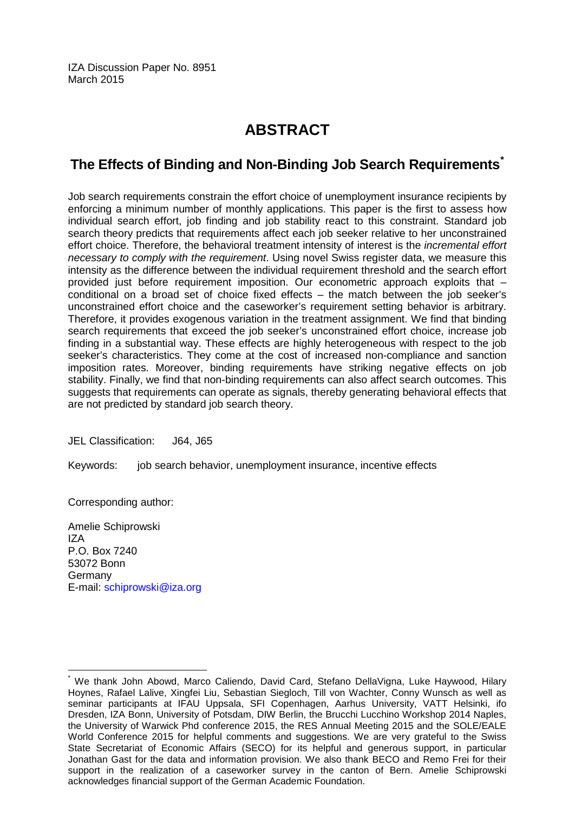IZA Discussion Paper No. 8951 March 2015

## **ABSTRACT**

## **The Effects of Binding and Non-Binding Job Search Requirements[\\*](#page-1-0)**

Job search requirements constrain the effort choice of unemployment insurance recipients by enforcing a minimum number of monthly applications. This paper is the first to assess how individual search effort, job finding and job stability react to this constraint. Standard job search theory predicts that requirements affect each job seeker relative to her unconstrained effort choice. Therefore, the behavioral treatment intensity of interest is the *incremental effort necessary to comply with the requirement*. Using novel Swiss register data, we measure this intensity as the difference between the individual requirement threshold and the search effort provided just before requirement imposition. Our econometric approach exploits that – conditional on a broad set of choice fixed effects – the match between the job seeker's unconstrained effort choice and the caseworker's requirement setting behavior is arbitrary. Therefore, it provides exogenous variation in the treatment assignment. We find that binding search requirements that exceed the job seeker's unconstrained effort choice, increase job finding in a substantial way. These effects are highly heterogeneous with respect to the job seeker's characteristics. They come at the cost of increased non-compliance and sanction imposition rates. Moreover, binding requirements have striking negative effects on job stability. Finally, we find that non-binding requirements can also affect search outcomes. This suggests that requirements can operate as signals, thereby generating behavioral effects that are not predicted by standard job search theory.

JEL Classification: J64, J65

Keywords: job search behavior, unemployment insurance, incentive effects

Corresponding author:

Amelie Schiprowski IZA P.O. Box 7240 53072 Bonn Germany E-mail: [schiprowski@iza.org](mailto:schiprowski@iza.org)

We thank John Abowd, Marco Caliendo, David Card, Stefano DellaVigna, Luke Haywood, Hilary Hoynes, Rafael Lalive, Xingfei Liu, Sebastian Siegloch, Till von Wachter, Conny Wunsch as well as seminar participants at IFAU Uppsala, SFI Copenhagen, Aarhus University, VATT Helsinki, ifo Dresden, IZA Bonn, University of Potsdam, DIW Berlin, the Brucchi Lucchino Workshop 2014 Naples, the University of Warwick Phd conference 2015, the RES Annual Meeting 2015 and the SOLE/EALE World Conference 2015 for helpful comments and suggestions. We are very grateful to the Swiss State Secretariat of Economic Affairs (SECO) for its helpful and generous support, in particular Jonathan Gast for the data and information provision. We also thank BECO and Remo Frei for their support in the realization of a caseworker survey in the canton of Bern. Amelie Schiprowski acknowledges financial support of the German Academic Foundation.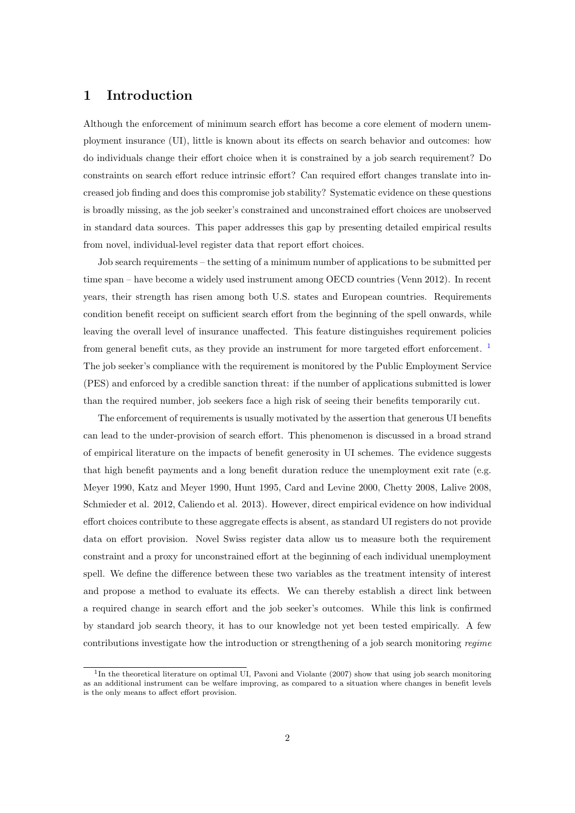### 1 Introduction

Although the enforcement of minimum search effort has become a core element of modern unemployment insurance (UI), little is known about its effects on search behavior and outcomes: how do individuals change their effort choice when it is constrained by a job search requirement? Do constraints on search effort reduce intrinsic effort? Can required effort changes translate into increased job finding and does this compromise job stability? Systematic evidence on these questions is broadly missing, as the job seeker's constrained and unconstrained effort choices are unobserved in standard data sources. This paper addresses this gap by presenting detailed empirical results from novel, individual-level register data that report effort choices.

Job search requirements – the setting of a minimum number of applications to be submitted per time span – have become a widely used instrument among OECD countries (Venn 2012). In recent years, their strength has risen among both U.S. states and European countries. Requirements condition benefit receipt on sufficient search effort from the beginning of the spell onwards, while leaving the overall level of insurance unaffected. This feature distinguishes requirement policies from general benefit cuts, as they provide an instrument for more targeted effort enforcement. [1](#page--1-0) The job seeker's compliance with the requirement is monitored by the Public Employment Service (PES) and enforced by a credible sanction threat: if the number of applications submitted is lower than the required number, job seekers face a high risk of seeing their benefits temporarily cut.

The enforcement of requirements is usually motivated by the assertion that generous UI benefits can lead to the under-provision of search effort. This phenomenon is discussed in a broad strand of empirical literature on the impacts of benefit generosity in UI schemes. The evidence suggests that high benefit payments and a long benefit duration reduce the unemployment exit rate (e.g. Meyer 1990, Katz and Meyer 1990, Hunt 1995, Card and Levine 2000, Chetty 2008, Lalive 2008, Schmieder et al. 2012, Caliendo et al. 2013). However, direct empirical evidence on how individual effort choices contribute to these aggregate effects is absent, as standard UI registers do not provide data on effort provision. Novel Swiss register data allow us to measure both the requirement constraint and a proxy for unconstrained effort at the beginning of each individual unemployment spell. We define the difference between these two variables as the treatment intensity of interest and propose a method to evaluate its effects. We can thereby establish a direct link between a required change in search effort and the job seeker's outcomes. While this link is confirmed by standard job search theory, it has to our knowledge not yet been tested empirically. A few contributions investigate how the introduction or strengthening of a job search monitoring regime

<sup>&</sup>lt;sup>1</sup>In the theoretical literature on optimal UI, Pavoni and Violante (2007) show that using job search monitoring as an additional instrument can be welfare improving, as compared to a situation where changes in benefit levels is the only means to affect effort provision.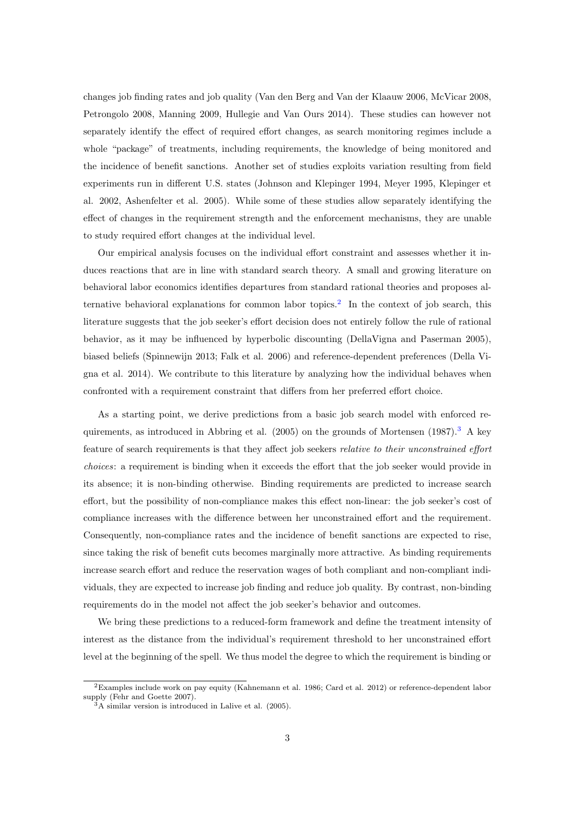changes job finding rates and job quality (Van den Berg and Van der Klaauw 2006, McVicar 2008, Petrongolo 2008, Manning 2009, Hullegie and Van Ours 2014). These studies can however not separately identify the effect of required effort changes, as search monitoring regimes include a whole "package" of treatments, including requirements, the knowledge of being monitored and the incidence of benefit sanctions. Another set of studies exploits variation resulting from field experiments run in different U.S. states (Johnson and Klepinger 1994, Meyer 1995, Klepinger et al. 2002, Ashenfelter et al. 2005). While some of these studies allow separately identifying the effect of changes in the requirement strength and the enforcement mechanisms, they are unable to study required effort changes at the individual level.

Our empirical analysis focuses on the individual effort constraint and assesses whether it induces reactions that are in line with standard search theory. A small and growing literature on behavioral labor economics identifies departures from standard rational theories and proposes al-ternative behavioral explanations for common labor topics.<sup>[2](#page--1-0)</sup> In the context of job search, this literature suggests that the job seeker's effort decision does not entirely follow the rule of rational behavior, as it may be influenced by hyperbolic discounting (DellaVigna and Paserman 2005), biased beliefs (Spinnewijn 2013; Falk et al. 2006) and reference-dependent preferences (Della Vigna et al. 2014). We contribute to this literature by analyzing how the individual behaves when confronted with a requirement constraint that differs from her preferred effort choice.

As a starting point, we derive predictions from a basic job search model with enforced requirements, as introduced in Abbring et al.  $(2005)$  on the grounds of Mortensen  $(1987).$ <sup>[3](#page--1-0)</sup> A key feature of search requirements is that they affect job seekers relative to their unconstrained effort choices: a requirement is binding when it exceeds the effort that the job seeker would provide in its absence; it is non-binding otherwise. Binding requirements are predicted to increase search effort, but the possibility of non-compliance makes this effect non-linear: the job seeker's cost of compliance increases with the difference between her unconstrained effort and the requirement. Consequently, non-compliance rates and the incidence of benefit sanctions are expected to rise, since taking the risk of benefit cuts becomes marginally more attractive. As binding requirements increase search effort and reduce the reservation wages of both compliant and non-compliant individuals, they are expected to increase job finding and reduce job quality. By contrast, non-binding requirements do in the model not affect the job seeker's behavior and outcomes.

We bring these predictions to a reduced-form framework and define the treatment intensity of interest as the distance from the individual's requirement threshold to her unconstrained effort level at the beginning of the spell. We thus model the degree to which the requirement is binding or

<sup>2</sup>Examples include work on pay equity (Kahnemann et al. 1986; Card et al. 2012) or reference-dependent labor supply (Fehr and Goette 2007).

<sup>3</sup>A similar version is introduced in Lalive et al. (2005).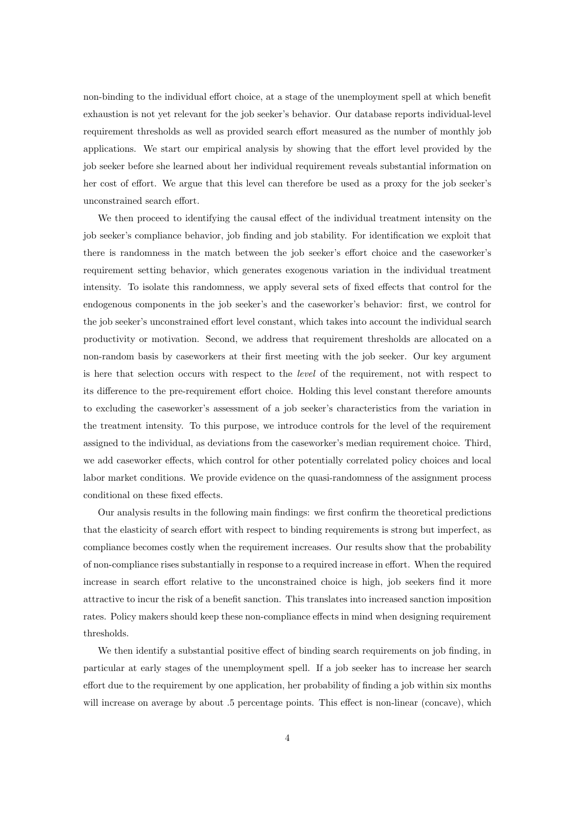non-binding to the individual effort choice, at a stage of the unemployment spell at which benefit exhaustion is not yet relevant for the job seeker's behavior. Our database reports individual-level requirement thresholds as well as provided search effort measured as the number of monthly job applications. We start our empirical analysis by showing that the effort level provided by the job seeker before she learned about her individual requirement reveals substantial information on her cost of effort. We argue that this level can therefore be used as a proxy for the job seeker's unconstrained search effort.

We then proceed to identifying the causal effect of the individual treatment intensity on the job seeker's compliance behavior, job finding and job stability. For identification we exploit that there is randomness in the match between the job seeker's effort choice and the caseworker's requirement setting behavior, which generates exogenous variation in the individual treatment intensity. To isolate this randomness, we apply several sets of fixed effects that control for the endogenous components in the job seeker's and the caseworker's behavior: first, we control for the job seeker's unconstrained effort level constant, which takes into account the individual search productivity or motivation. Second, we address that requirement thresholds are allocated on a non-random basis by caseworkers at their first meeting with the job seeker. Our key argument is here that selection occurs with respect to the level of the requirement, not with respect to its difference to the pre-requirement effort choice. Holding this level constant therefore amounts to excluding the caseworker's assessment of a job seeker's characteristics from the variation in the treatment intensity. To this purpose, we introduce controls for the level of the requirement assigned to the individual, as deviations from the caseworker's median requirement choice. Third, we add caseworker effects, which control for other potentially correlated policy choices and local labor market conditions. We provide evidence on the quasi-randomness of the assignment process conditional on these fixed effects.

Our analysis results in the following main findings: we first confirm the theoretical predictions that the elasticity of search effort with respect to binding requirements is strong but imperfect, as compliance becomes costly when the requirement increases. Our results show that the probability of non-compliance rises substantially in response to a required increase in effort. When the required increase in search effort relative to the unconstrained choice is high, job seekers find it more attractive to incur the risk of a benefit sanction. This translates into increased sanction imposition rates. Policy makers should keep these non-compliance effects in mind when designing requirement thresholds.

We then identify a substantial positive effect of binding search requirements on job finding, in particular at early stages of the unemployment spell. If a job seeker has to increase her search effort due to the requirement by one application, her probability of finding a job within six months will increase on average by about .5 percentage points. This effect is non-linear (concave), which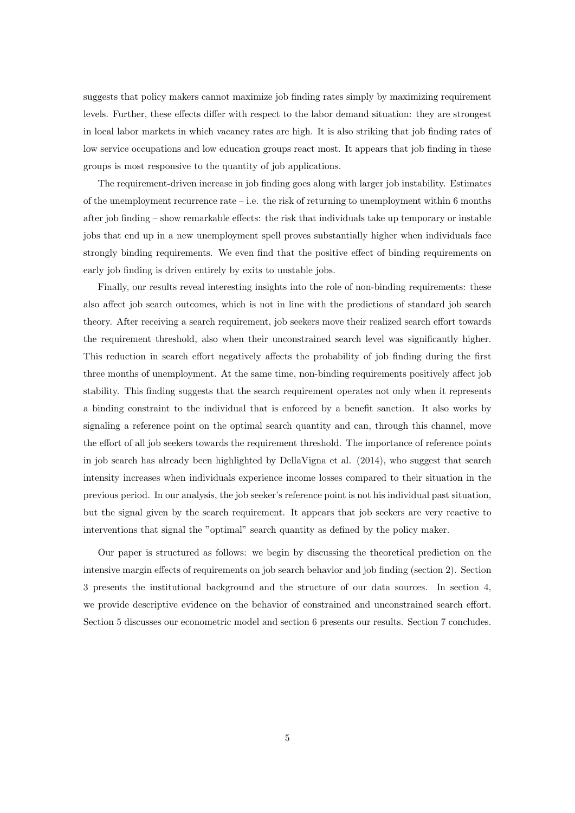suggests that policy makers cannot maximize job finding rates simply by maximizing requirement levels. Further, these effects differ with respect to the labor demand situation: they are strongest in local labor markets in which vacancy rates are high. It is also striking that job finding rates of low service occupations and low education groups react most. It appears that job finding in these groups is most responsive to the quantity of job applications.

The requirement-driven increase in job finding goes along with larger job instability. Estimates of the unemployment recurrence rate – i.e. the risk of returning to unemployment within  $6$  months after job finding – show remarkable effects: the risk that individuals take up temporary or instable jobs that end up in a new unemployment spell proves substantially higher when individuals face strongly binding requirements. We even find that the positive effect of binding requirements on early job finding is driven entirely by exits to unstable jobs.

Finally, our results reveal interesting insights into the role of non-binding requirements: these also affect job search outcomes, which is not in line with the predictions of standard job search theory. After receiving a search requirement, job seekers move their realized search effort towards the requirement threshold, also when their unconstrained search level was significantly higher. This reduction in search effort negatively affects the probability of job finding during the first three months of unemployment. At the same time, non-binding requirements positively affect job stability. This finding suggests that the search requirement operates not only when it represents a binding constraint to the individual that is enforced by a benefit sanction. It also works by signaling a reference point on the optimal search quantity and can, through this channel, move the effort of all job seekers towards the requirement threshold. The importance of reference points in job search has already been highlighted by DellaVigna et al. (2014), who suggest that search intensity increases when individuals experience income losses compared to their situation in the previous period. In our analysis, the job seeker's reference point is not his individual past situation, but the signal given by the search requirement. It appears that job seekers are very reactive to interventions that signal the "optimal" search quantity as defined by the policy maker.

Our paper is structured as follows: we begin by discussing the theoretical prediction on the intensive margin effects of requirements on job search behavior and job finding (section 2). Section 3 presents the institutional background and the structure of our data sources. In section 4, we provide descriptive evidence on the behavior of constrained and unconstrained search effort. Section 5 discusses our econometric model and section 6 presents our results. Section 7 concludes.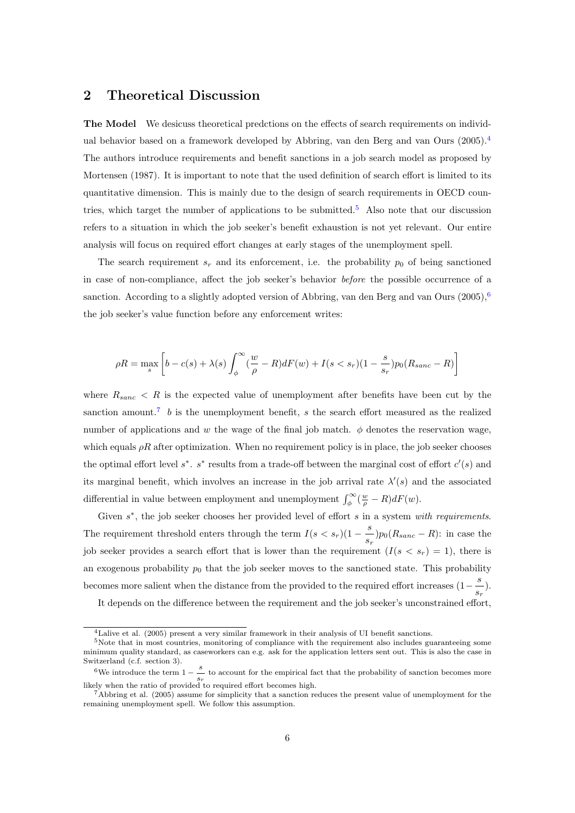### 2 Theoretical Discussion

The Model We desicuss theoretical predctions on the effects of search requirements on individual behavior based on a framework developed by Abbring, van den Berg and van Ours (2005).[4](#page--1-0) The authors introduce requirements and benefit sanctions in a job search model as proposed by Mortensen (1987). It is important to note that the used definition of search effort is limited to its quantitative dimension. This is mainly due to the design of search requirements in OECD coun-tries, which target the number of applications to be submitted.<sup>[5](#page--1-0)</sup> Also note that our discussion refers to a situation in which the job seeker's benefit exhaustion is not yet relevant. Our entire analysis will focus on required effort changes at early stages of the unemployment spell.

The search requirement  $s_r$  and its enforcement, i.e. the probability  $p_0$  of being sanctioned in case of non-compliance, affect the job seeker's behavior before the possible occurrence of a sanction. According to a slightly adopted version of Abbring, van den Berg and van Ours  $(2005)$ , [6](#page--1-0) the job seeker's value function before any enforcement writes:

$$
\rho R = \max_{s} \left[ b - c(s) + \lambda(s) \int_{\phi}^{\infty} (\frac{w}{\rho} - R) dF(w) + I(s < s_r)(1 - \frac{s}{s_r}) p_0(R_{sanc} - R) \right]
$$

where  $R_{sanc}$  < R is the expected value of unemployment after benefits have been cut by the sanction amount.<sup>[7](#page--1-0)</sup> b is the unemployment benefit, s the search effort measured as the realized number of applications and w the wage of the final job match.  $\phi$  denotes the reservation wage, which equals  $\rho R$  after optimization. When no requirement policy is in place, the job seeker chooses the optimal effort level  $s^*$ .  $s^*$  results from a trade-off between the marginal cost of effort  $c'(s)$  and its marginal benefit, which involves an increase in the job arrival rate  $\lambda'(s)$  and the associated differential in value between employment and unemployment  $\int_{\phi}^{\infty} (\frac{w}{\rho} - R) dF(w)$ .

Given  $s^*$ , the job seeker chooses her provided level of effort  $s$  in a system with requirements. The requirement threshold enters through the term  $I(s < s_r)(1 - \frac{s}{s}$  $\frac{S}{s_r}$ ) $p_0(R_{sanc} - R)$ : in case the job seeker provides a search effort that is lower than the requirement  $(I(s < s_r) = 1)$ , there is an exogenous probability  $p_0$  that the job seeker moves to the sanctioned state. This probability becomes more salient when the distance from the provided to the required effort increases  $(1 - \frac{s}{\epsilon})$  $\frac{S}{s_r}$ ).

It depends on the difference between the requirement and the job seeker's unconstrained effort,

<sup>4</sup>Lalive et al. (2005) present a very similar framework in their analysis of UI benefit sanctions.

<sup>5</sup>Note that in most countries, monitoring of compliance with the requirement also includes guaranteeing some minimum quality standard, as caseworkers can e.g. ask for the application letters sent out. This is also the case in Switzerland (c.f. section 3).

<sup>&</sup>lt;sup>6</sup>We introduce the term  $1 - \frac{s}{s}$  to account for the empirical fact that the probability of sanction becomes more  $s_r$  is accepted to required effort becomes high.

 $^{7}$ Abbring et al. (2005) assume for simplicity that a sanction reduces the present value of unemployment for the remaining unemployment spell. We follow this assumption.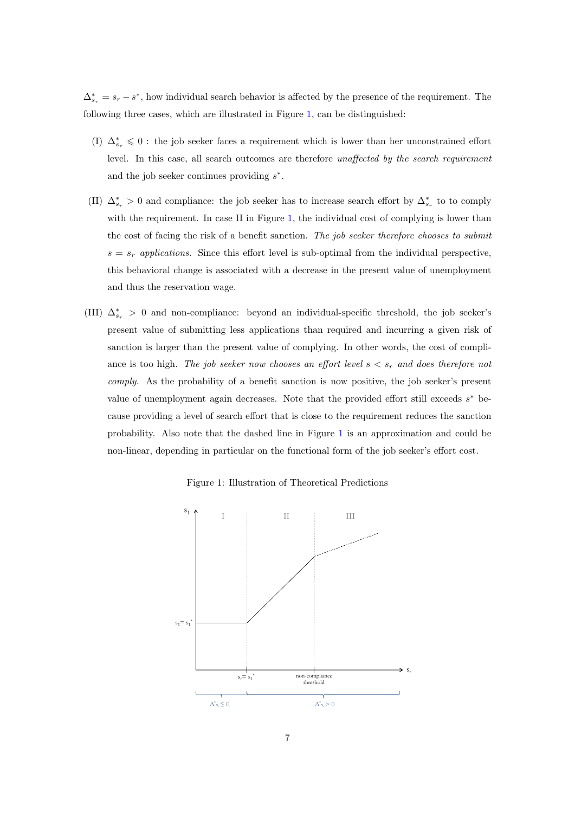$\Delta_{s_r}^* = s_r - s^*$ , how individual search behavior is affected by the presence of the requirement. The following three cases, which are illustrated in Figure [1,](#page-8-0) can be distinguished:

- (I)  $\Delta_{s_r}^* \leq 0$ : the job seeker faces a requirement which is lower than her unconstrained effort level. In this case, all search outcomes are therefore unaffected by the search requirement and the job seeker continues providing  $s^*$ .
- (II)  $\Delta_{s_r}^* > 0$  and compliance: the job seeker has to increase search effort by  $\Delta_{s_r}^*$  to to comply with the requirement. In case II in Figure [1,](#page-8-0) the individual cost of complying is lower than the cost of facing the risk of a benefit sanction. The job seeker therefore chooses to submit  $s = s_r$  applications. Since this effort level is sub-optimal from the individual perspective, this behavioral change is associated with a decrease in the present value of unemployment and thus the reservation wage.
- (III)  $\Delta_{s_r}^* > 0$  and non-compliance: beyond an individual-specific threshold, the job seeker's present value of submitting less applications than required and incurring a given risk of sanction is larger than the present value of complying. In other words, the cost of compliance is too high. The job seeker now chooses an effort level  $s < s_r$  and does therefore not comply. As the probability of a benefit sanction is now positive, the job seeker's present value of unemployment again decreases. Note that the provided effort still exceeds  $s^*$  because providing a level of search effort that is close to the requirement reduces the sanction probability. Also note that the dashed line in Figure [1](#page-8-0) is an approximation and could be non-linear, depending in particular on the functional form of the job seeker's effort cost.

Figure 1: Illustration of Theoretical Predictions

<span id="page-8-0"></span>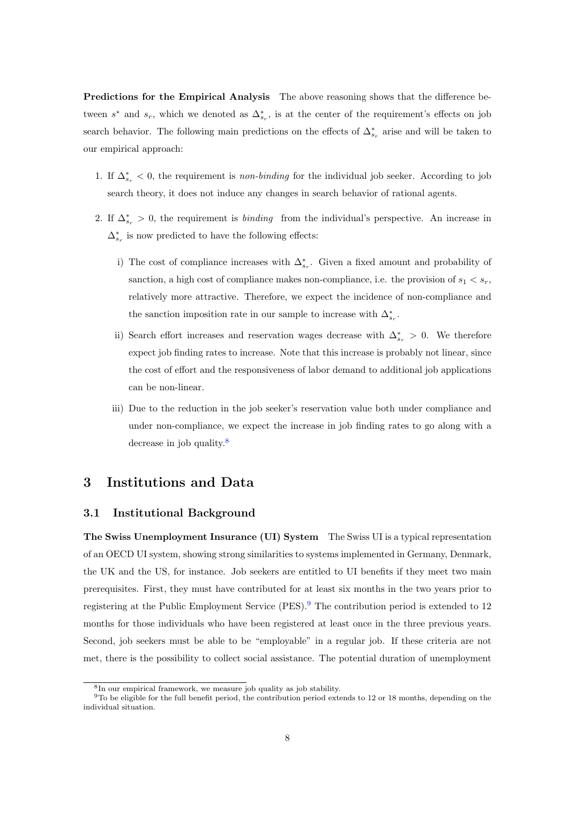Predictions for the Empirical Analysis The above reasoning shows that the difference between  $s^*$  and  $s_r$ , which we denoted as  $\Delta_{s_r}^*$ , is at the center of the requirement's effects on job search behavior. The following main predictions on the effects of  $\Delta_{s_r}^*$  arise and will be taken to our empirical approach:

- 1. If  $\Delta_{s_r}^* < 0$ , the requirement is *non-binding* for the individual job seeker. According to job search theory, it does not induce any changes in search behavior of rational agents.
- 2. If  $\Delta_{s_r}^* > 0$ , the requirement is *binding* from the individual's perspective. An increase in  $\Delta_{s_r}^*$  is now predicted to have the following effects:
	- i) The cost of compliance increases with  $\Delta_{s_r}^*$ . Given a fixed amount and probability of sanction, a high cost of compliance makes non-compliance, i.e. the provision of  $s_1 < s_r$ , relatively more attractive. Therefore, we expect the incidence of non-compliance and the sanction imposition rate in our sample to increase with  $\Delta_{s_r}^*.$
	- ii) Search effort increases and reservation wages decrease with  $\Delta_{s_r}^* > 0$ . We therefore expect job finding rates to increase. Note that this increase is probably not linear, since the cost of effort and the responsiveness of labor demand to additional job applications can be non-linear.
	- iii) Due to the reduction in the job seeker's reservation value both under compliance and under non-compliance, we expect the increase in job finding rates to go along with a decrease in job quality.<sup>[8](#page--1-0)</sup>

## 3 Institutions and Data

#### 3.1 Institutional Background

The Swiss Unemployment Insurance (UI) System The Swiss UI is a typical representation of an OECD UI system, showing strong similarities to systems implemented in Germany, Denmark, the UK and the US, for instance. Job seekers are entitled to UI benefits if they meet two main prerequisites. First, they must have contributed for at least six months in the two years prior to registering at the Public Employment Service (PES).[9](#page--1-0) The contribution period is extended to 12 months for those individuals who have been registered at least once in the three previous years. Second, job seekers must be able to be "employable" in a regular job. If these criteria are not met, there is the possibility to collect social assistance. The potential duration of unemployment

<sup>8</sup> In our empirical framework, we measure job quality as job stability.

 $9$ To be eligible for the full benefit period, the contribution period extends to 12 or 18 months, depending on the individual situation.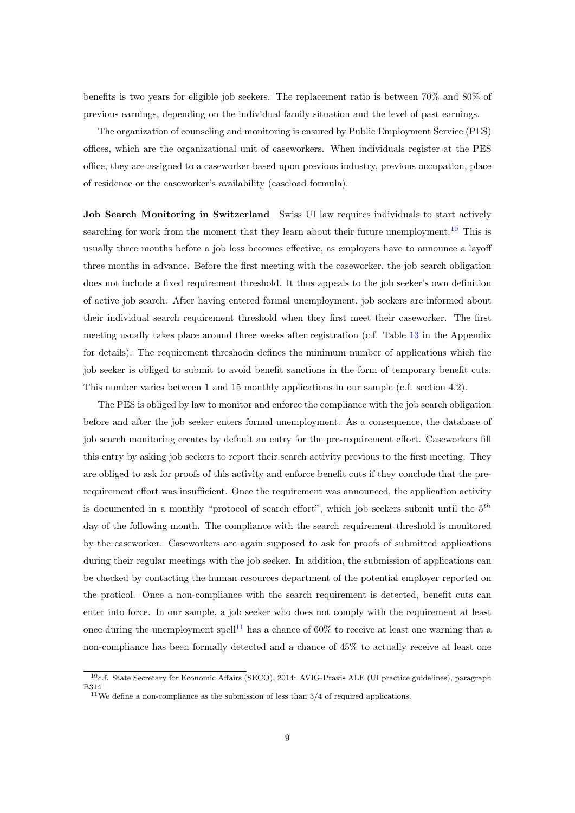benefits is two years for eligible job seekers. The replacement ratio is between 70% and 80% of previous earnings, depending on the individual family situation and the level of past earnings.

The organization of counseling and monitoring is ensured by Public Employment Service (PES) offices, which are the organizational unit of caseworkers. When individuals register at the PES office, they are assigned to a caseworker based upon previous industry, previous occupation, place of residence or the caseworker's availability (caseload formula).

Job Search Monitoring in Switzerland Swiss UI law requires individuals to start actively searching for work from the moment that they learn about their future unemployment.<sup>[10](#page--1-0)</sup> This is usually three months before a job loss becomes effective, as employers have to announce a layoff three months in advance. Before the first meeting with the caseworker, the job search obligation does not include a fixed requirement threshold. It thus appeals to the job seeker's own definition of active job search. After having entered formal unemployment, job seekers are informed about their individual search requirement threshold when they first meet their caseworker. The first meeting usually takes place around three weeks after registration (c.f. Table [13](#page-52-0) in the Appendix for details). The requirement threshodn defines the minimum number of applications which the job seeker is obliged to submit to avoid benefit sanctions in the form of temporary benefit cuts. This number varies between 1 and 15 monthly applications in our sample (c.f. section 4.2).

The PES is obliged by law to monitor and enforce the compliance with the job search obligation before and after the job seeker enters formal unemployment. As a consequence, the database of job search monitoring creates by default an entry for the pre-requirement effort. Caseworkers fill this entry by asking job seekers to report their search activity previous to the first meeting. They are obliged to ask for proofs of this activity and enforce benefit cuts if they conclude that the prerequirement effort was insufficient. Once the requirement was announced, the application activity is documented in a monthly "protocol of search effort", which job seekers submit until the  $5<sup>th</sup>$ day of the following month. The compliance with the search requirement threshold is monitored by the caseworker. Caseworkers are again supposed to ask for proofs of submitted applications during their regular meetings with the job seeker. In addition, the submission of applications can be checked by contacting the human resources department of the potential employer reported on the proticol. Once a non-compliance with the search requirement is detected, benefit cuts can enter into force. In our sample, a job seeker who does not comply with the requirement at least once during the unemployment spell<sup>[11](#page--1-0)</sup> has a chance of  $60\%$  to receive at least one warning that a non-compliance has been formally detected and a chance of 45% to actually receive at least one

<sup>10</sup>c.f. State Secretary for Economic Affairs (SECO), 2014: AVIG-Praxis ALE (UI practice guidelines), paragraph B314

<sup>&</sup>lt;sup>11</sup>We define a non-compliance as the submission of less than  $3/4$  of required applications.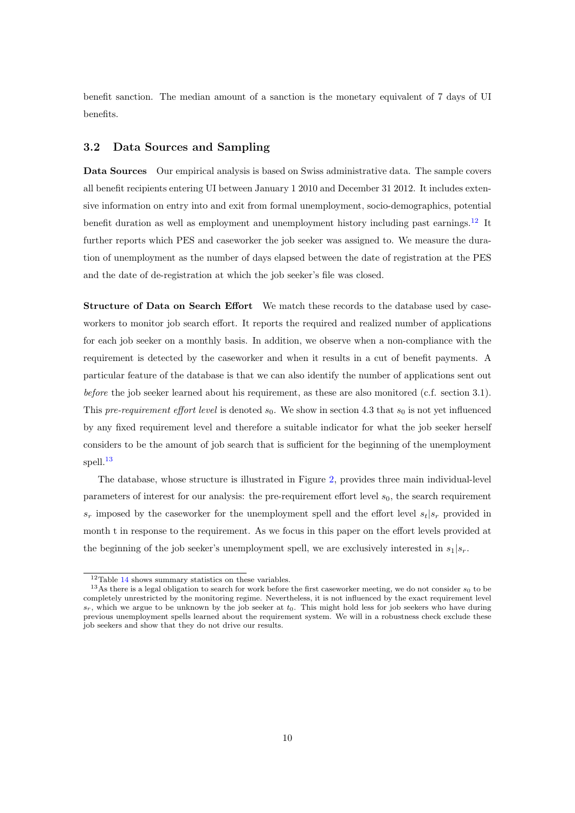benefit sanction. The median amount of a sanction is the monetary equivalent of 7 days of UI benefits.

#### 3.2 Data Sources and Sampling

Data Sources Our empirical analysis is based on Swiss administrative data. The sample covers all benefit recipients entering UI between January 1 2010 and December 31 2012. It includes extensive information on entry into and exit from formal unemployment, socio-demographics, potential benefit duration as well as employment and unemployment history including past earnings.<sup>[12](#page--1-0)</sup> It further reports which PES and caseworker the job seeker was assigned to. We measure the duration of unemployment as the number of days elapsed between the date of registration at the PES and the date of de-registration at which the job seeker's file was closed.

Structure of Data on Search Effort We match these records to the database used by caseworkers to monitor job search effort. It reports the required and realized number of applications for each job seeker on a monthly basis. In addition, we observe when a non-compliance with the requirement is detected by the caseworker and when it results in a cut of benefit payments. A particular feature of the database is that we can also identify the number of applications sent out before the job seeker learned about his requirement, as these are also monitored (c.f. section 3.1). This pre-requirement effort level is denoted  $s_0$ . We show in section 4.3 that  $s_0$  is not yet influenced by any fixed requirement level and therefore a suitable indicator for what the job seeker herself considers to be the amount of job search that is sufficient for the beginning of the unemployment spell.<sup>[13](#page--1-0)</sup>

The database, whose structure is illustrated in Figure [2,](#page-12-0) provides three main individual-level parameters of interest for our analysis: the pre-requirement effort level  $s<sub>0</sub>$ , the search requirement  $s_r$  imposed by the caseworker for the unemployment spell and the effort level  $s_t|s_r$  provided in month t in response to the requirement. As we focus in this paper on the effort levels provided at the beginning of the job seeker's unemployment spell, we are exclusively interested in  $s_1|s_r$ .

 $12$ Table [14](#page-53-0) shows summary statistics on these variables.

<sup>&</sup>lt;sup>13</sup>As there is a legal obligation to search for work before the first caseworker meeting, we do not consider  $s_0$  to be completely unrestricted by the monitoring regime. Nevertheless, it is not influenced by the exact requirement level  $s_r$ , which we argue to be unknown by the job seeker at  $t_0$ . This might hold less for job seekers who have during previous unemployment spells learned about the requirement system. We will in a robustness check exclude these job seekers and show that they do not drive our results.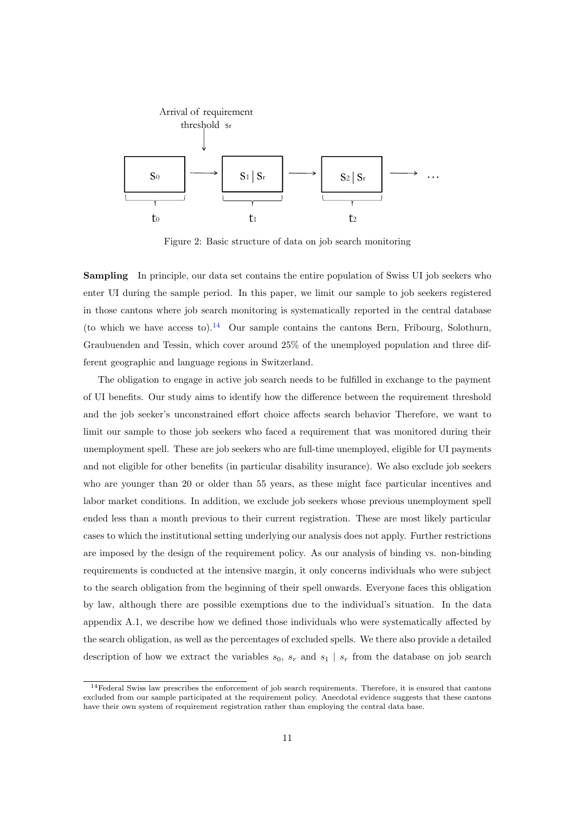<span id="page-12-0"></span>

Figure 2: Basic structure of data on job search monitoring

**Sampling** In principle, our data set contains the entire population of Swiss UI job seekers who enter UI during the sample period. In this paper, we limit our sample to job seekers registered in those cantons where job search monitoring is systematically reported in the central database (to which we have access to).<sup>[14](#page--1-0)</sup> Our sample contains the cantons Bern, Fribourg, Solothurn, Graubuenden and Tessin, which cover around 25% of the unemployed population and three different geographic and language regions in Switzerland.

The obligation to engage in active job search needs to be fulfilled in exchange to the payment of UI benefits. Our study aims to identify how the difference between the requirement threshold and the job seeker's unconstrained effort choice affects search behavior Therefore, we want to limit our sample to those job seekers who faced a requirement that was monitored during their unemployment spell. These are job seekers who are full-time unemployed, eligible for UI payments and not eligible for other benefits (in particular disability insurance). We also exclude job seekers who are younger than 20 or older than 55 years, as these might face particular incentives and labor market conditions. In addition, we exclude job seekers whose previous unemployment spell ended less than a month previous to their current registration. These are most likely particular cases to which the institutional setting underlying our analysis does not apply. Further restrictions are imposed by the design of the requirement policy. As our analysis of binding vs. non-binding requirements is conducted at the intensive margin, it only concerns individuals who were subject to the search obligation from the beginning of their spell onwards. Everyone faces this obligation by law, although there are possible exemptions due to the individual's situation. In the data appendix A.1, we describe how we defined those individuals who were systematically affected by the search obligation, as well as the percentages of excluded spells. We there also provide a detailed description of how we extract the variables  $s_0$ ,  $s_r$  and  $s_1 | s_r$  from the database on job search

 $14$ Federal Swiss law prescribes the enforcement of job search requirements. Therefore, it is ensured that cantons excluded from our sample participated at the requirement policy. Anecdotal evidence suggests that these cantons have their own system of requirement registration rather than employing the central data base.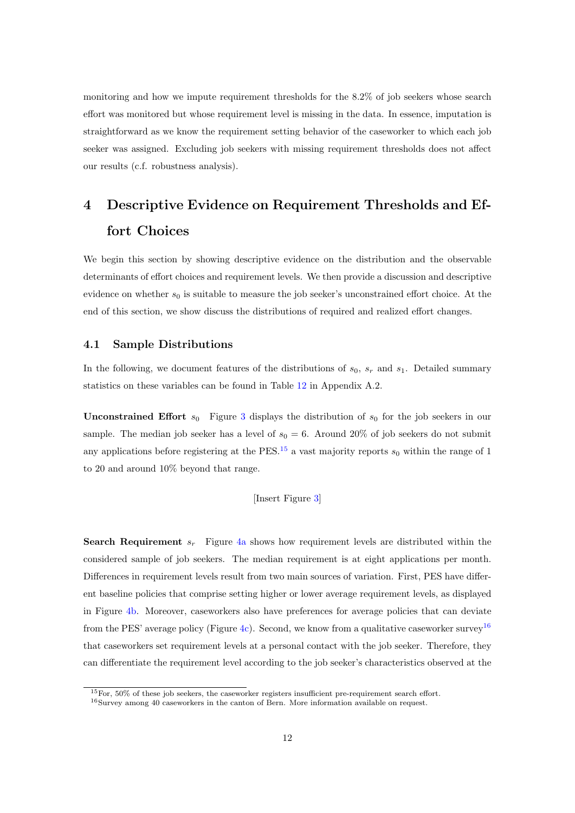monitoring and how we impute requirement thresholds for the 8.2% of job seekers whose search effort was monitored but whose requirement level is missing in the data. In essence, imputation is straightforward as we know the requirement setting behavior of the caseworker to which each job seeker was assigned. Excluding job seekers with missing requirement thresholds does not affect our results (c.f. robustness analysis).

## 4 Descriptive Evidence on Requirement Thresholds and Effort Choices

We begin this section by showing descriptive evidence on the distribution and the observable determinants of effort choices and requirement levels. We then provide a discussion and descriptive evidence on whether  $s_0$  is suitable to measure the job seeker's unconstrained effort choice. At the end of this section, we show discuss the distributions of required and realized effort changes.

#### 4.1 Sample Distributions

In the following, we document features of the distributions of  $s_0$ ,  $s_r$  and  $s_1$ . Detailed summary statistics on these variables can be found in Table [12](#page-51-0) in Appendix A.2.

**Unconstrained Effort**  $s_0$  Figure [3](#page-31-0) displays the distribution of  $s_0$  for the job seekers in our sample. The median job seeker has a level of  $s_0 = 6$ . Around 20% of job seekers do not submit any applications before registering at the PES.<sup>[15](#page--1-0)</sup> a vast majority reports  $s_0$  within the range of 1 to 20 and around 10% beyond that range.

#### [Insert Figure [3\]](#page-31-0)

**Search Requirement**  $s_r$  Figure [4a](#page-31-1) shows how requirement levels are distributed within the considered sample of job seekers. The median requirement is at eight applications per month. Differences in requirement levels result from two main sources of variation. First, PES have different baseline policies that comprise setting higher or lower average requirement levels, as displayed in Figure [4b.](#page-31-1) Moreover, caseworkers also have preferences for average policies that can deviate from the PES' average policy (Figure [4c\)](#page-31-1). Second, we know from a qualitative caseworker survey<sup>[16](#page--1-0)</sup> that caseworkers set requirement levels at a personal contact with the job seeker. Therefore, they can differentiate the requirement level according to the job seeker's characteristics observed at the

 $15$ For,  $50\%$  of these job seekers, the caseworker registers insufficient pre-requirement search effort.

<sup>16</sup>Survey among 40 caseworkers in the canton of Bern. More information available on request.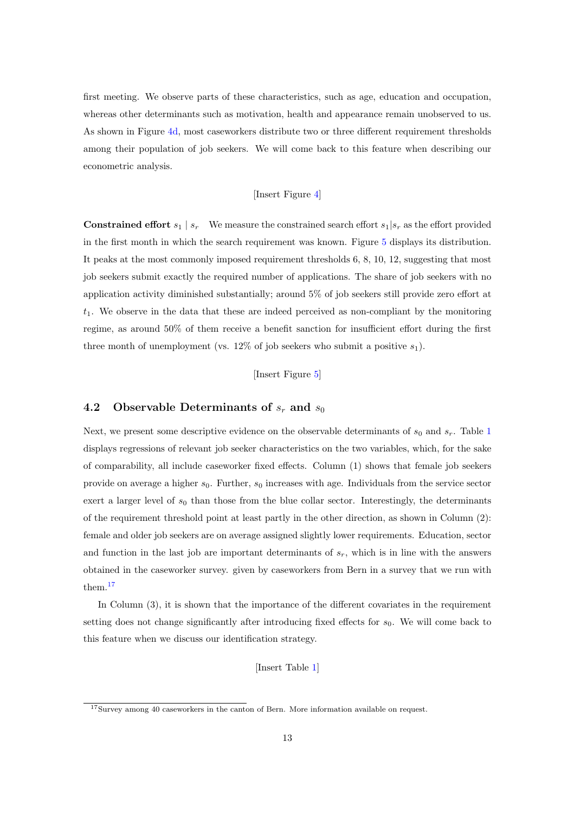first meeting. We observe parts of these characteristics, such as age, education and occupation, whereas other determinants such as motivation, health and appearance remain unobserved to us. As shown in Figure [4d,](#page-31-1) most caseworkers distribute two or three different requirement thresholds among their population of job seekers. We will come back to this feature when describing our econometric analysis.

#### [Insert Figure [4\]](#page-31-1)

**Constrained effort**  $s_1 | s_r$  We measure the constrained search effort  $s_1 | s_r$  as the effort provided in the first month in which the search requirement was known. Figure [5](#page-32-0) displays its distribution. It peaks at the most commonly imposed requirement thresholds 6, 8, 10, 12, suggesting that most job seekers submit exactly the required number of applications. The share of job seekers with no application activity diminished substantially; around 5% of job seekers still provide zero effort at  $t_1$ . We observe in the data that these are indeed perceived as non-compliant by the monitoring regime, as around 50% of them receive a benefit sanction for insufficient effort during the first three month of unemployment (vs. 12% of job seekers who submit a positive  $s_1$ ).

[Insert Figure [5\]](#page-32-0)

#### 4.2 Observable Determinants of  $s_r$  and  $s_0$

Next, we present some descriptive evidence on the observable determinants of  $s_0$  and  $s_r$ . Table [1](#page-32-1) displays regressions of relevant job seeker characteristics on the two variables, which, for the sake of comparability, all include caseworker fixed effects. Column (1) shows that female job seekers provide on average a higher  $s_0$ . Further,  $s_0$  increases with age. Individuals from the service sector exert a larger level of  $s_0$  than those from the blue collar sector. Interestingly, the determinants of the requirement threshold point at least partly in the other direction, as shown in Column (2): female and older job seekers are on average assigned slightly lower requirements. Education, sector and function in the last job are important determinants of  $s_r$ , which is in line with the answers obtained in the caseworker survey. given by caseworkers from Bern in a survey that we run with them.[17](#page--1-0)

In Column (3), it is shown that the importance of the different covariates in the requirement setting does not change significantly after introducing fixed effects for  $s<sub>0</sub>$ . We will come back to this feature when we discuss our identification strategy.

[Insert Table [1\]](#page-32-1)

<sup>17</sup>Survey among 40 caseworkers in the canton of Bern. More information available on request.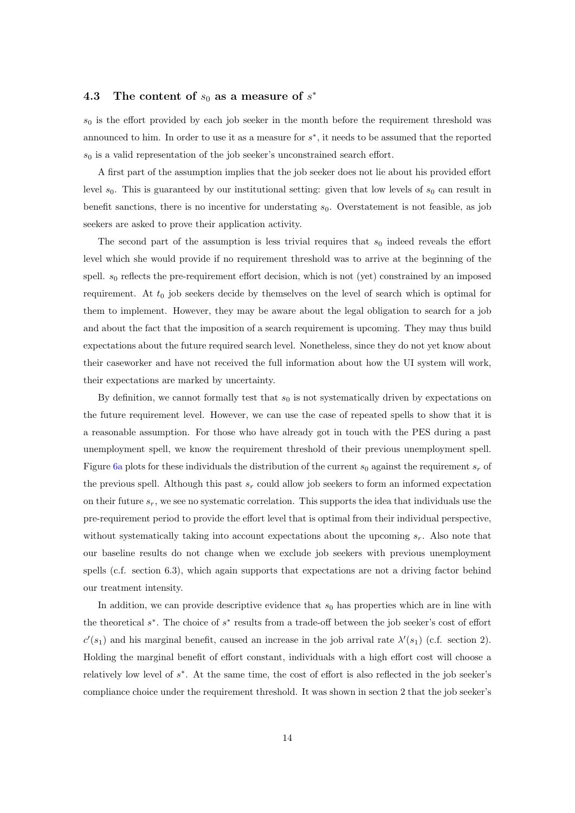## 4.3 The content of  $s_0$  as a measure of  $s^*$

 $s_0$  is the effort provided by each job seeker in the month before the requirement threshold was announced to him. In order to use it as a measure for  $s^*$ , it needs to be assumed that the reported  $s_0$  is a valid representation of the job seeker's unconstrained search effort.

A first part of the assumption implies that the job seeker does not lie about his provided effort level  $s_0$ . This is guaranteed by our institutional setting: given that low levels of  $s_0$  can result in benefit sanctions, there is no incentive for understating  $s_0$ . Overstatement is not feasible, as job seekers are asked to prove their application activity.

The second part of the assumption is less trivial requires that  $s_0$  indeed reveals the effort level which she would provide if no requirement threshold was to arrive at the beginning of the spell.  $s_0$  reflects the pre-requirement effort decision, which is not (yet) constrained by an imposed requirement. At  $t_0$  job seekers decide by themselves on the level of search which is optimal for them to implement. However, they may be aware about the legal obligation to search for a job and about the fact that the imposition of a search requirement is upcoming. They may thus build expectations about the future required search level. Nonetheless, since they do not yet know about their caseworker and have not received the full information about how the UI system will work, their expectations are marked by uncertainty.

By definition, we cannot formally test that  $s_0$  is not systematically driven by expectations on the future requirement level. However, we can use the case of repeated spells to show that it is a reasonable assumption. For those who have already got in touch with the PES during a past unemployment spell, we know the requirement threshold of their previous unemployment spell. Figure [6a](#page-33-0) plots for these individuals the distribution of the current  $s_0$  against the requirement  $s_r$  of the previous spell. Although this past  $s_r$  could allow job seekers to form an informed expectation on their future  $s_r$ , we see no systematic correlation. This supports the idea that individuals use the pre-requirement period to provide the effort level that is optimal from their individual perspective, without systematically taking into account expectations about the upcoming  $s_r$ . Also note that our baseline results do not change when we exclude job seekers with previous unemployment spells (c.f. section 6.3), which again supports that expectations are not a driving factor behind our treatment intensity.

In addition, we can provide descriptive evidence that  $s_0$  has properties which are in line with the theoretical  $s^*$ . The choice of  $s^*$  results from a trade-off between the job seeker's cost of effort  $c'(s_1)$  and his marginal benefit, caused an increase in the job arrival rate  $\lambda'(s_1)$  (c.f. section 2). Holding the marginal benefit of effort constant, individuals with a high effort cost will choose a relatively low level of s ∗ . At the same time, the cost of effort is also reflected in the job seeker's compliance choice under the requirement threshold. It was shown in section 2 that the job seeker's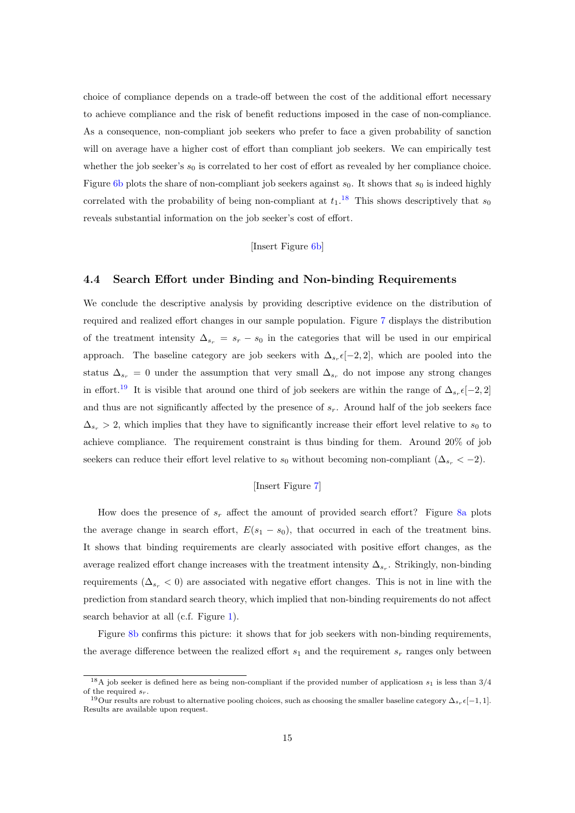choice of compliance depends on a trade-off between the cost of the additional effort necessary to achieve compliance and the risk of benefit reductions imposed in the case of non-compliance. As a consequence, non-compliant job seekers who prefer to face a given probability of sanction will on average have a higher cost of effort than compliant job seekers. We can empirically test whether the job seeker's  $s_0$  is correlated to her cost of effort as revealed by her compliance choice. Figure [6b](#page-33-0) plots the share of non-compliant job seekers against  $s_0$ . It shows that  $s_0$  is indeed highly correlated with the probability of being non-compliant at  $t_1$ .<sup>[18](#page--1-0)</sup> This shows descriptively that  $s_0$ reveals substantial information on the job seeker's cost of effort.

#### [Insert Figure [6b\]](#page-33-0)

#### 4.4 Search Effort under Binding and Non-binding Requirements

We conclude the descriptive analysis by providing descriptive evidence on the distribution of required and realized effort changes in our sample population. Figure [7](#page-33-1) displays the distribution of the treatment intensity  $\Delta_{s_r} = s_r - s_0$  in the categories that will be used in our empirical approach. The baseline category are job seekers with  $\Delta_{s_r} \epsilon [-2,2]$ , which are pooled into the status  $\Delta_{s_r} = 0$  under the assumption that very small  $\Delta_{s_r}$  do not impose any strong changes in effort.<sup>[19](#page--1-0)</sup> It is visible that around one third of job seekers are within the range of  $\Delta_{s_r} \epsilon [-2,2]$ and thus are not significantly affected by the presence of  $s_r$ . Around half of the job seekers face  $\Delta_{s_r} > 2$ , which implies that they have to significantly increase their effort level relative to  $s_0$  to achieve compliance. The requirement constraint is thus binding for them. Around 20% of job seekers can reduce their effort level relative to  $s_0$  without becoming non-compliant  $(\Delta_{s_r} < -2)$ .

#### [Insert Figure [7\]](#page-33-1)

How does the presence of  $s_r$  affect the amount of provided search effort? Figure [8a](#page-34-0) plots the average change in search effort,  $E(s_1 - s_0)$ , that occurred in each of the treatment bins. It shows that binding requirements are clearly associated with positive effort changes, as the average realized effort change increases with the treatment intensity  $\Delta_{s_r}$ . Strikingly, non-binding requirements ( $\Delta_{s_r}$  < 0) are associated with negative effort changes. This is not in line with the prediction from standard search theory, which implied that non-binding requirements do not affect search behavior at all (c.f. Figure [1\)](#page-8-0).

Figure [8b](#page-34-0) confirms this picture: it shows that for job seekers with non-binding requirements, the average difference between the realized effort  $s_1$  and the requirement  $s_r$  ranges only between

<sup>&</sup>lt;sup>18</sup>A job seeker is defined here as being non-compliant if the provided number of applicatiosn  $s_1$  is less than 3/4 of the required  $s_r$ .

<sup>&</sup>lt;sup>19</sup>Our results are robust to alternative pooling choices, such as choosing the smaller baseline category  $\Delta_{s_r} \epsilon[-1,1]$ . Results are available upon request.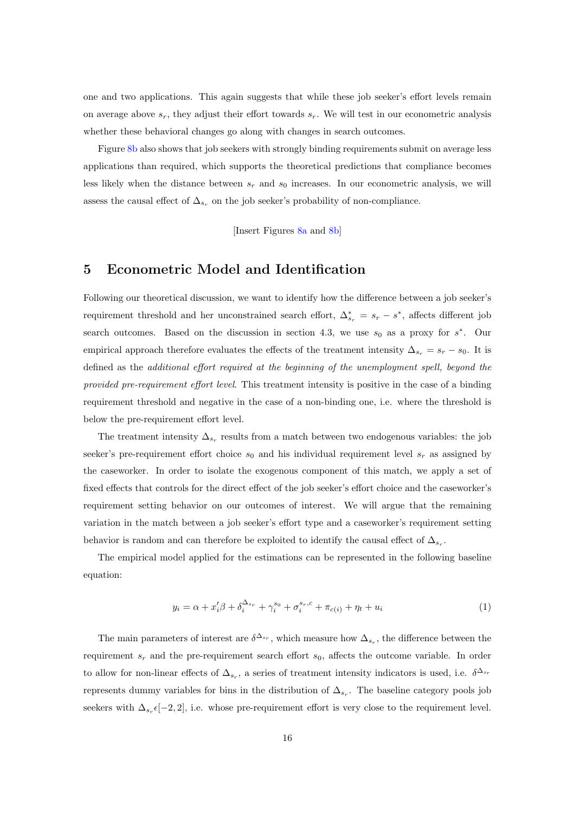one and two applications. This again suggests that while these job seeker's effort levels remain on average above  $s_r$ , they adjust their effort towards  $s_r$ . We will test in our econometric analysis whether these behavioral changes go along with changes in search outcomes.

Figure [8b](#page-34-0) also shows that job seekers with strongly binding requirements submit on average less applications than required, which supports the theoretical predictions that compliance becomes less likely when the distance between  $s_r$  and  $s_0$  increases. In our econometric analysis, we will assess the causal effect of  $\Delta_{s_r}$  on the job seeker's probability of non-compliance.

[Insert Figures [8a](#page-34-0) and [8b\]](#page-34-0)

## 5 Econometric Model and Identification

Following our theoretical discussion, we want to identify how the difference between a job seeker's requirement threshold and her unconstrained search effort,  $\Delta_{s_r}^* = s_r - s^*$ , affects different job search outcomes. Based on the discussion in section 4.3, we use  $s_0$  as a proxy for  $s^*$ . Our empirical approach therefore evaluates the effects of the treatment intensity  $\Delta_{s_r} = s_r - s_0$ . It is defined as the additional effort required at the beginning of the unemployment spell, beyond the provided pre-requirement effort level. This treatment intensity is positive in the case of a binding requirement threshold and negative in the case of a non-binding one, i.e. where the threshold is below the pre-requirement effort level.

The treatment intensity  $\Delta_{s_r}$  results from a match between two endogenous variables: the job seeker's pre-requirement effort choice  $s_0$  and his individual requirement level  $s_r$  as assigned by the caseworker. In order to isolate the exogenous component of this match, we apply a set of fixed effects that controls for the direct effect of the job seeker's effort choice and the caseworker's requirement setting behavior on our outcomes of interest. We will argue that the remaining variation in the match between a job seeker's effort type and a caseworker's requirement setting behavior is random and can therefore be exploited to identify the causal effect of  $\Delta_{s_r}$ .

The empirical model applied for the estimations can be represented in the following baseline equation:

<span id="page-17-0"></span>
$$
y_i = \alpha + x_i' \beta + \delta_i^{\Delta_{sr}} + \gamma_i^{s_0} + \sigma_i^{s_r, c} + \pi_{c(i)} + \eta_t + u_i
$$
\n(1)

The main parameters of interest are  $\delta^{\Delta_{s_r}}$ , which measure how  $\Delta_{s_r}$ , the difference between the requirement  $s_r$  and the pre-requirement search effort  $s_0$ , affects the outcome variable. In order to allow for non-linear effects of  $\Delta_{s_r}$ , a series of treatment intensity indicators is used, i.e.  $\delta^{\Delta_{s_r}}$ represents dummy variables for bins in the distribution of  $\Delta_{s_r}$ . The baseline category pools job seekers with  $\Delta_{s_r} \epsilon [-2,2]$ , i.e. whose pre-requirement effort is very close to the requirement level.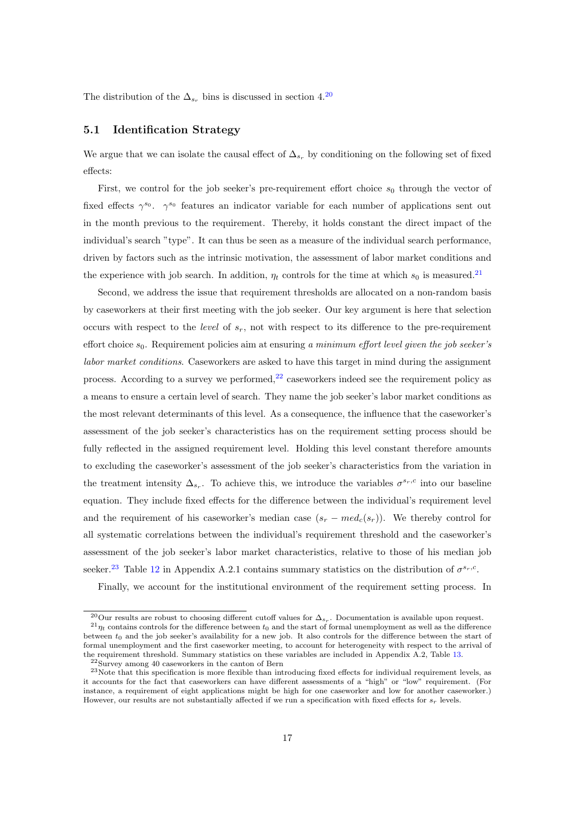The distribution of the  $\Delta_{s_r}$  bins is discussed in section 4.<sup>[20](#page--1-0)</sup>

#### 5.1 Identification Strategy

We argue that we can isolate the causal effect of  $\Delta_{s_r}$  by conditioning on the following set of fixed effects:

First, we control for the job seeker's pre-requirement effort choice  $s_0$  through the vector of fixed effects  $\gamma^{s_0}$ .  $\gamma^{s_0}$  features an indicator variable for each number of applications sent out in the month previous to the requirement. Thereby, it holds constant the direct impact of the individual's search "type". It can thus be seen as a measure of the individual search performance, driven by factors such as the intrinsic motivation, the assessment of labor market conditions and the experience with job search. In addition,  $\eta_t$  controls for the time at which  $s_0$  is measured.<sup>[21](#page--1-0)</sup>

Second, we address the issue that requirement thresholds are allocated on a non-random basis by caseworkers at their first meeting with the job seeker. Our key argument is here that selection occurs with respect to the *level* of  $s_r$ , not with respect to its difference to the pre-requirement effort choice  $s_0$ . Requirement policies aim at ensuring a minimum effort level given the job seeker's labor market conditions. Caseworkers are asked to have this target in mind during the assignment process. According to a survey we performed,  $^{22}$  $^{22}$  $^{22}$  caseworkers indeed see the requirement policy as a means to ensure a certain level of search. They name the job seeker's labor market conditions as the most relevant determinants of this level. As a consequence, the influence that the caseworker's assessment of the job seeker's characteristics has on the requirement setting process should be fully reflected in the assigned requirement level. Holding this level constant therefore amounts to excluding the caseworker's assessment of the job seeker's characteristics from the variation in the treatment intensity  $\Delta_{s_r}$ . To achieve this, we introduce the variables  $\sigma^{s_r,c}$  into our baseline equation. They include fixed effects for the difference between the individual's requirement level and the requirement of his caseworker's median case  $(s_r - med_c(s_r))$ . We thereby control for all systematic correlations between the individual's requirement threshold and the caseworker's assessment of the job seeker's labor market characteristics, relative to those of his median job seeker.<sup>[23](#page--1-0)</sup> Table [12](#page-51-0) in Appendix A.2.1 contains summary statistics on the distribution of  $\sigma^{s_r,c}$ .

Finally, we account for the institutional environment of the requirement setting process. In

<sup>&</sup>lt;sup>20</sup>Our results are robust to choosing different cutoff values for  $\Delta_{s_r}$ . Documentation is available upon request.  $^{21}\eta_t$  contains controls for the difference between  $t_0$  and the start of formal unemployment as well as the difference between  $t_0$  and the job seeker's availability for a new job. It also controls for the difference between the start of formal unemployment and the first caseworker meeting, to account for heterogeneity with respect to the arrival of the requirement threshold. Summary statistics on these variables are included in Appendix A.2, Table [13.](#page-52-0)

<sup>22</sup>Survey among 40 caseworkers in the canton of Bern

<sup>23</sup>Note that this specification is more flexible than introducing fixed effects for individual requirement levels, as it accounts for the fact that caseworkers can have different assessments of a "high" or "low" requirement. (For instance, a requirement of eight applications might be high for one caseworker and low for another caseworker.) However, our results are not substantially affected if we run a specification with fixed effects for  $s_r$  levels.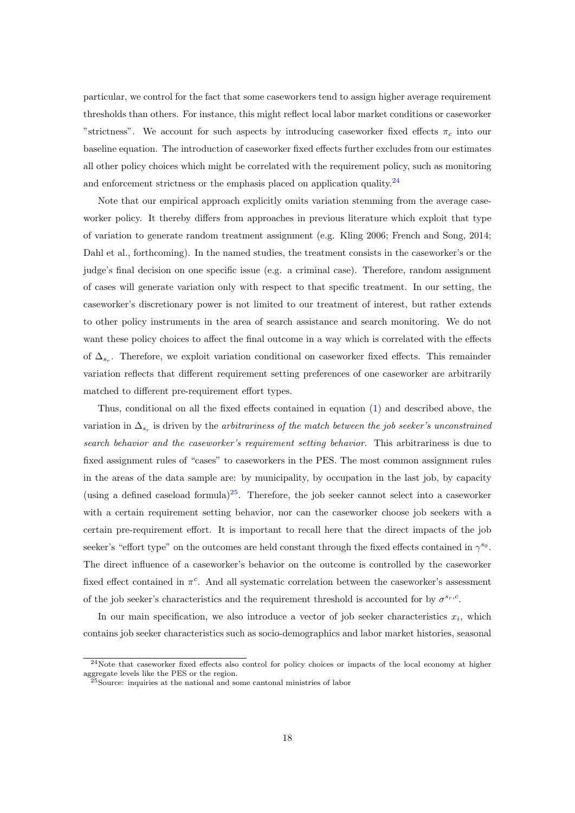particular, we control for the fact that some caseworkers tend to assign higher average requirement thresholds than others. For instance, this might reflect local labor market conditions or caseworker "strictness". We account for such aspects by introducing caseworker fixed effects  $\pi_c$  into our baseline equation. The introduction of caseworker fixed effects further excludes from our estimates all other policy choices which might be correlated with the requirement policy, such as monitoring and enforcement strictness or the emphasis placed on application quality.<sup>[24](#page--1-0)</sup>

Note that our empirical approach explicitly omits variation stemming from the average caseworker policy. It thereby differs from approaches in previous literature which exploit that type of variation to generate random treatment assignment (e.g. Kling 2006; French and Song, 2014; Dahl et al., forthcoming). In the named studies, the treatment consists in the caseworker's or the judge's final decision on one specific issue (e.g. a criminal case). Therefore, random assignment of cases will generate variation only with respect to that specific treatment. In our setting, the caseworker's discretionary power is not limited to our treatment of interest, but rather extends to other policy instruments in the area of search assistance and search monitoring. We do not want these policy choices to affect the final outcome in a way which is correlated with the effects of  $\Delta_{s_r}$ . Therefore, we exploit variation conditional on caseworker fixed effects. This remainder variation reflects that different requirement setting preferences of one caseworker are arbitrarily matched to different pre-requirement effort types.

Thus, conditional on all the fixed effects contained in equation [\(1\)](#page-17-0) and described above, the variation in  $\Delta_{s_r}$  is driven by the *arbitrariness of the match between the job seeker's unconstrained* search behavior and the caseworker's requirement setting behavior. This arbitrariness is due to fixed assignment rules of "cases" to caseworkers in the PES. The most common assignment rules in the areas of the data sample are: by municipality, by occupation in the last job, by capacity (using a defined caseload formula)<sup>[25](#page--1-0)</sup>. Therefore, the job seeker cannot select into a caseworker with a certain requirement setting behavior, nor can the caseworker choose job seekers with a certain pre-requirement effort. It is important to recall here that the direct impacts of the job seeker's "effort type" on the outcomes are held constant through the fixed effects contained in  $\gamma^{s_0}$ . The direct influence of a caseworker's behavior on the outcome is controlled by the caseworker fixed effect contained in  $\pi^c$ . And all systematic correlation between the caseworker's assessment of the job seeker's characteristics and the requirement threshold is accounted for by  $\sigma^{s_r,c}$ .

In our main specification, we also introduce a vector of job seeker characteristics  $x_i$ , which contains job seeker characteristics such as socio-demographics and labor market histories, seasonal

<sup>&</sup>lt;sup>24</sup>Note that caseworker fixed effects also control for policy choices or impacts of the local economy at higher aggregate levels like the PES or the region.

<sup>&</sup>lt;sup>25</sup>Source: inquiries at the national and some cantonal ministries of labor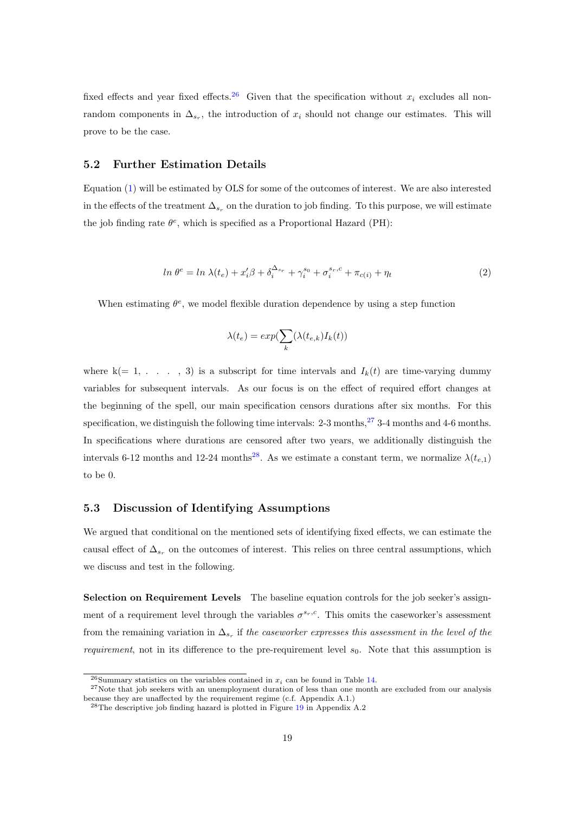fixed effects and year fixed effects.<sup>[26](#page--1-0)</sup> Given that the specification without  $x_i$  excludes all nonrandom components in  $\Delta_{s_r}$ , the introduction of  $x_i$  should not change our estimates. This will prove to be the case.

#### 5.2 Further Estimation Details

Equation [\(1\)](#page-17-0) will be estimated by OLS for some of the outcomes of interest. We are also interested in the effects of the treatment  $\Delta_{s_r}$  on the duration to job finding. To this purpose, we will estimate the job finding rate  $\theta^e$ , which is specified as a Proportional Hazard (PH):

<span id="page-20-0"></span>
$$
\ln \theta^e = \ln \lambda(t_e) + x_i' \beta + \delta_i^{\Delta_{sr}} + \gamma_i^{s_0} + \sigma_i^{s_r,c} + \pi_{c(i)} + \eta_t \tag{2}
$$

When estimating  $\theta^e$ , we model flexible duration dependence by using a step function

$$
\lambda(t_e) = exp(\sum_k (\lambda(t_{e,k})I_k(t))
$$

where  $k(= 1, \ldots, 3)$  is a subscript for time intervals and  $I_k(t)$  are time-varying dummy variables for subsequent intervals. As our focus is on the effect of required effort changes at the beginning of the spell, our main specification censors durations after six months. For this specification, we distinguish the following time intervals:  $2-3$  months,<sup>[27](#page--1-0)</sup>  $3-4$  months and 4-6 months. In specifications where durations are censored after two years, we additionally distinguish the intervals 6-12 months and 12-24 months<sup>[28](#page--1-0)</sup>. As we estimate a constant term, we normalize  $\lambda(t_{e,1})$ to be 0.

#### 5.3 Discussion of Identifying Assumptions

We argued that conditional on the mentioned sets of identifying fixed effects, we can estimate the causal effect of  $\Delta_{s_r}$  on the outcomes of interest. This relies on three central assumptions, which we discuss and test in the following.

Selection on Requirement Levels The baseline equation controls for the job seeker's assignment of a requirement level through the variables  $\sigma^{s_r,c}$ . This omits the caseworker's assessment from the remaining variation in  $\Delta_{s_r}$  if the caseworker expresses this assessment in the level of the *requirement*, not in its difference to the pre-requirement level  $s_0$ . Note that this assumption is

<sup>&</sup>lt;sup>26</sup>Summary statistics on the variables contained in  $x_i$  can be found in Table [14.](#page-53-0)

 $27$ Note that job seekers with an unemployment duration of less than one month are excluded from our analysis because they are unaffected by the requirement regime (c.f. Appendix A.1.)

 $^{28}$ The descriptive job finding hazard is plotted in Figure [19](#page-50-0) in Appendix A.2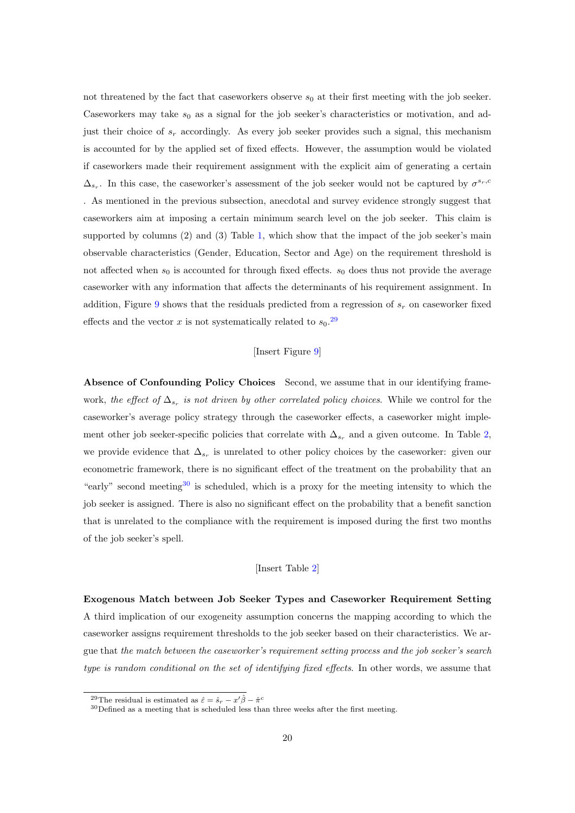not threatened by the fact that caseworkers observe  $s_0$  at their first meeting with the job seeker. Caseworkers may take  $s_0$  as a signal for the job seeker's characteristics or motivation, and adjust their choice of  $s_r$  accordingly. As every job seeker provides such a signal, this mechanism is accounted for by the applied set of fixed effects. However, the assumption would be violated if caseworkers made their requirement assignment with the explicit aim of generating a certain  $\Delta_{s_r}$ . In this case, the caseworker's assessment of the job seeker would not be captured by  $\sigma^{s_r,c_r}$ . As mentioned in the previous subsection, anecdotal and survey evidence strongly suggest that caseworkers aim at imposing a certain minimum search level on the job seeker. This claim is supported by columns (2) and (3) Table [1,](#page-32-1) which show that the impact of the job seeker's main observable characteristics (Gender, Education, Sector and Age) on the requirement threshold is not affected when  $s_0$  is accounted for through fixed effects.  $s_0$  does thus not provide the average caseworker with any information that affects the determinants of his requirement assignment. In addition, Figure [9](#page-34-1) shows that the residuals predicted from a regression of  $s_r$  on caseworker fixed effects and the vector x is not systematically related to  $s_0$ .<sup>[29](#page--1-0)</sup>

#### [Insert Figure [9\]](#page-34-1)

Absence of Confounding Policy Choices Second, we assume that in our identifying framework, the effect of  $\Delta_{s_r}$  is not driven by other correlated policy choices. While we control for the caseworker's average policy strategy through the caseworker effects, a caseworker might implement other job seeker-specific policies that correlate with  $\Delta_{s_r}$  and a given outcome. In Table [2,](#page-35-0) we provide evidence that  $\Delta_{s_r}$  is unrelated to other policy choices by the caseworker: given our econometric framework, there is no significant effect of the treatment on the probability that an "early" second meeting<sup>[30](#page--1-0)</sup> is scheduled, which is a proxy for the meeting intensity to which the job seeker is assigned. There is also no significant effect on the probability that a benefit sanction that is unrelated to the compliance with the requirement is imposed during the first two months of the job seeker's spell.

#### [Insert Table [2\]](#page-35-0)

Exogenous Match between Job Seeker Types and Caseworker Requirement Setting A third implication of our exogeneity assumption concerns the mapping according to which the caseworker assigns requirement thresholds to the job seeker based on their characteristics. We argue that the match between the caseworker's requirement setting process and the job seeker's search type is random conditional on the set of identifying fixed effects. In other words, we assume that

<sup>&</sup>lt;sup>29</sup>The residual is estimated as  $\hat{\varepsilon} = \hat{s}_r - x'\hat{\beta} - \hat{\pi}^c$ 

 $^{30}\rm{Defined}$  as a meeting that is scheduled less than three weeks after the first meeting.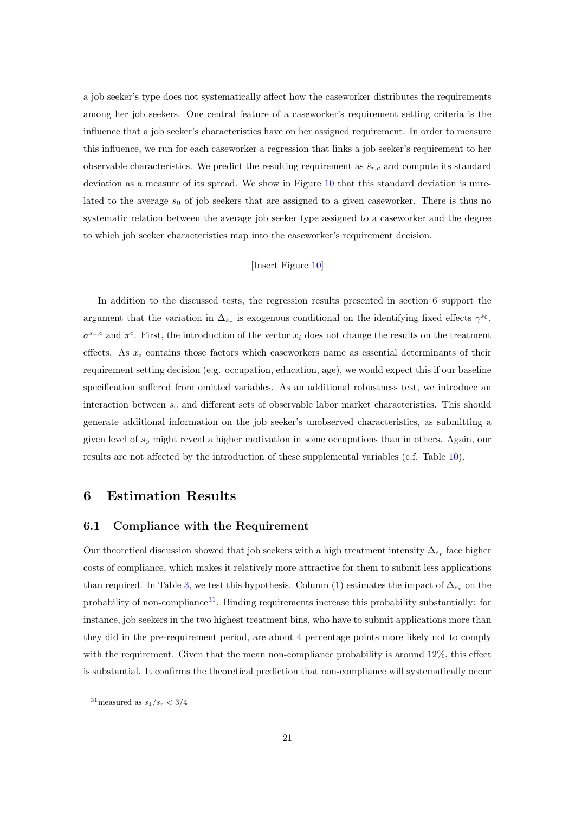a job seeker's type does not systematically affect how the caseworker distributes the requirements among her job seekers. One central feature of a caseworker's requirement setting criteria is the influence that a job seeker's characteristics have on her assigned requirement. In order to measure this influence, we run for each caseworker a regression that links a job seeker's requirement to her observable characteristics. We predict the resulting requirement as  $\hat{s}_{r,c}$  and compute its standard deviation as a measure of its spread. We show in Figure [10](#page-36-0) that this standard deviation is unrelated to the average  $s_0$  of job seekers that are assigned to a given caseworker. There is thus no systematic relation between the average job seeker type assigned to a caseworker and the degree to which job seeker characteristics map into the caseworker's requirement decision.

#### [Insert Figure [10\]](#page-36-0)

In addition to the discussed tests, the regression results presented in section 6 support the argument that the variation in  $\Delta_{s_r}$  is exogenous conditional on the identifying fixed effects  $\gamma^{s_0}$ ,  $\sigma^{s_r,c}$  and  $\pi^c$ . First, the introduction of the vector  $x_i$  does not change the results on the treatment effects. As  $x_i$  contains those factors which caseworkers name as essential determinants of their requirement setting decision (e.g. occupation, education, age), we would expect this if our baseline specification suffered from omitted variables. As an additional robustness test, we introduce an interaction between  $s_0$  and different sets of observable labor market characteristics. This should generate additional information on the job seeker's unobserved characteristics, as submitting a given level of  $s_0$  might reveal a higher motivation in some occupations than in others. Again, our results are not affected by the introduction of these supplemental variables (c.f. Table [10\)](#page-44-0).

## 6 Estimation Results

#### 6.1 Compliance with the Requirement

Our theoretical discussion showed that job seekers with a high treatment intensity  $\Delta_{s_r}$  face higher costs of compliance, which makes it relatively more attractive for them to submit less applications than required. In Table [3,](#page-37-0) we test this hypothesis. Column (1) estimates the impact of  $\Delta_{s_r}$  on the probability of non-compliance $31$ . Binding requirements increase this probability substantially: for instance, job seekers in the two highest treatment bins, who have to submit applications more than they did in the pre-requirement period, are about 4 percentage points more likely not to comply with the requirement. Given that the mean non-compliance probability is around  $12\%$ , this effect is substantial. It confirms the theoretical prediction that non-compliance will systematically occur

 $31$ measured as  $s_1/s_r < 3/4$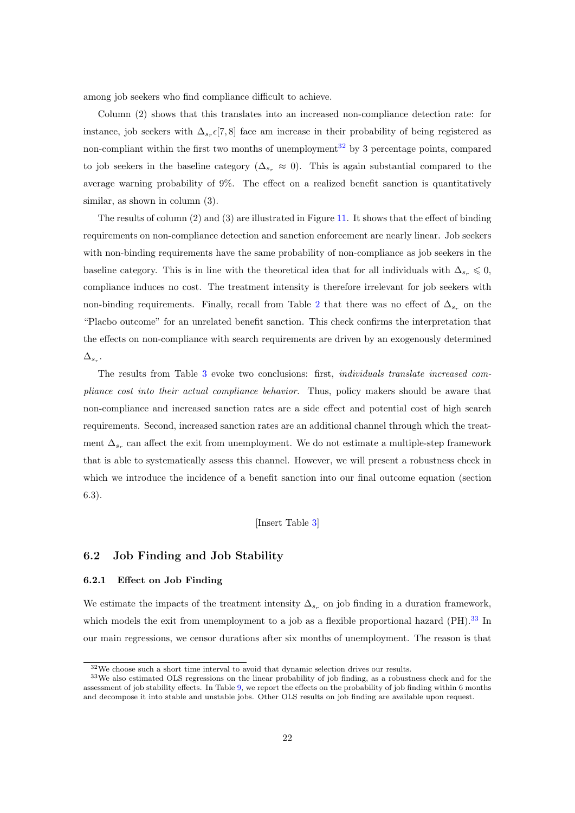among job seekers who find compliance difficult to achieve.

Column (2) shows that this translates into an increased non-compliance detection rate: for instance, job seekers with  $\Delta_{s_r} \epsilon [7, 8]$  face am increase in their probability of being registered as non-compliant within the first two months of unemployment<sup>[32](#page--1-0)</sup> by 3 percentage points, compared to job seekers in the baseline category ( $\Delta_{s_r} \approx 0$ ). This is again substantial compared to the average warning probability of 9%. The effect on a realized benefit sanction is quantitatively similar, as shown in column (3).

The results of column (2) and (3) are illustrated in Figure [11.](#page-37-1) It shows that the effect of binding requirements on non-compliance detection and sanction enforcement are nearly linear. Job seekers with non-binding requirements have the same probability of non-compliance as job seekers in the baseline category. This is in line with the theoretical idea that for all individuals with  $\Delta_{s_r} \leq 0$ , compliance induces no cost. The treatment intensity is therefore irrelevant for job seekers with non-binding requirements. Finally, recall from Table [2](#page-35-0) that there was no effect of  $\Delta_{s_r}$  on the "Placbo outcome" for an unrelated benefit sanction. This check confirms the interpretation that the effects on non-compliance with search requirements are driven by an exogenously determined  $\Delta_{s_r}.$ 

The results from Table [3](#page-37-0) evoke two conclusions: first, individuals translate increased compliance cost into their actual compliance behavior. Thus, policy makers should be aware that non-compliance and increased sanction rates are a side effect and potential cost of high search requirements. Second, increased sanction rates are an additional channel through which the treatment  $\Delta_{s_r}$  can affect the exit from unemployment. We do not estimate a multiple-step framework that is able to systematically assess this channel. However, we will present a robustness check in which we introduce the incidence of a benefit sanction into our final outcome equation (section 6.3).

[Insert Table [3\]](#page-37-0)

#### 6.2 Job Finding and Job Stability

#### 6.2.1 Effect on Job Finding

We estimate the impacts of the treatment intensity  $\Delta_{s_r}$  on job finding in a duration framework, which models the exit from unemployment to a job as a flexible proportional hazard  $(PH).$ <sup>[33](#page--1-0)</sup> In our main regressions, we censor durations after six months of unemployment. The reason is that

 $^{32}\mathrm{We}$  choose such a short time interval to avoid that dynamic selection drives our results.

<sup>33</sup>We also estimated OLS regressions on the linear probability of job finding, as a robustness check and for the assessment of job stability effects. In Table [9,](#page-43-0) we report the effects on the probability of job finding within 6 months and decompose it into stable and unstable jobs. Other OLS results on job finding are available upon request.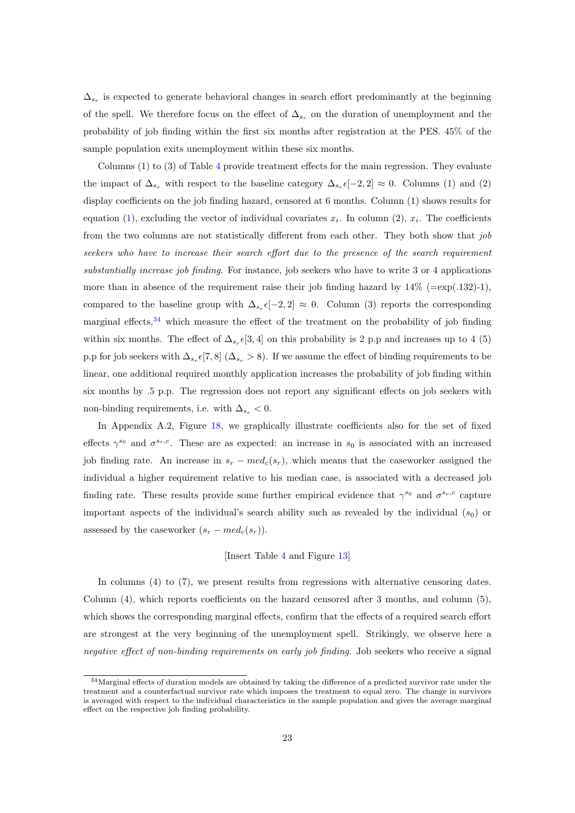$\Delta_{s_r}$  is expected to generate behavioral changes in search effort predominantly at the beginning of the spell. We therefore focus on the effect of  $\Delta_{s_r}$  on the duration of unemployment and the probability of job finding within the first six months after registration at the PES. 45% of the sample population exits unemployment within these six months.

Columns (1) to (3) of Table [4](#page-38-0) provide treatment effects for the main regression. They evaluate the impact of  $\Delta_{s_r}$  with respect to the baseline category  $\Delta_{s_r} \epsilon [-2,2] \approx 0$ . Columns (1) and (2) display coefficients on the job finding hazard, censored at 6 months. Column (1) shows results for equation [\(1\)](#page-17-0), excluding the vector of individual covariates  $x_i$ . In column (2),  $x_i$ . The coefficients from the two columns are not statistically different from each other. They both show that job seekers who have to increase their search effort due to the presence of the search requirement substantially increase job finding. For instance, job seekers who have to write 3 or 4 applications more than in absence of the requirement raise their job finding hazard by  $14\%$  (=exp(.132)-1), compared to the baseline group with  $\Delta_{s_r} \epsilon [-2,2] \approx 0$ . Column (3) reports the corresponding marginal effects,<sup>[34](#page--1-0)</sup> which measure the effect of the treatment on the probability of job finding within six months. The effect of  $\Delta_{s_r}([3,4])$  on this probability is 2 p.p and increases up to 4 (5) p.p for job seekers with  $\Delta_{s_r} \epsilon [7, 8]$  ( $\Delta_{s_r} > 8$ ). If we assume the effect of binding requirements to be linear, one additional required monthly application increases the probability of job finding within six months by .5 p.p. The regression does not report any significant effects on job seekers with non-binding requirements, i.e. with  $\Delta_{s_r} < 0$ .

In Appendix A.2, Figure [18,](#page-50-1) we graphically illustrate coefficients also for the set of fixed effects  $\gamma^{s_0}$  and  $\sigma^{s_r,c}$ . These are as expected: an increase in  $s_0$  is associated with an increased job finding rate. An increase in  $s_r - med_c(s_r)$ , which means that the caseworker assigned the individual a higher requirement relative to his median case, is associated with a decreased job finding rate. These results provide some further empirical evidence that  $\gamma^{s_0}$  and  $\sigma^{s_r,c}$  capture important aspects of the individual's search ability such as revealed by the individual  $(s_0)$  or assessed by the caseworker  $(s_r - med_c(s_r))$ .

#### [Insert Table [4](#page-38-0) and Figure [13\]](#page-38-1)

In columns (4) to (7), we present results from regressions with alternative censoring dates. Column (4), which reports coefficients on the hazard censored after 3 months, and column (5), which shows the corresponding marginal effects, confirm that the effects of a required search effort are strongest at the very beginning of the unemployment spell. Strikingly, we observe here a negative effect of non-binding requirements on early job finding. Job seekers who receive a signal

<sup>34</sup>Marginal effects of duration models are obtained by taking the difference of a predicted survivor rate under the treatment and a counterfactual survivor rate which imposes the treatment to equal zero. The change in survivors is averaged with respect to the individual characteristics in the sample population and gives the average marginal effect on the respective job finding probability.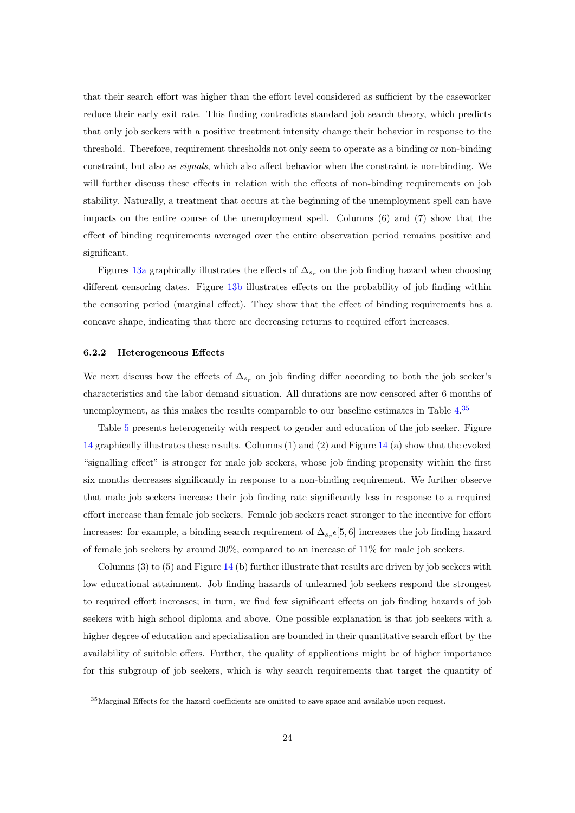that their search effort was higher than the effort level considered as sufficient by the caseworker reduce their early exit rate. This finding contradicts standard job search theory, which predicts that only job seekers with a positive treatment intensity change their behavior in response to the threshold. Therefore, requirement thresholds not only seem to operate as a binding or non-binding constraint, but also as signals, which also affect behavior when the constraint is non-binding. We will further discuss these effects in relation with the effects of non-binding requirements on job stability. Naturally, a treatment that occurs at the beginning of the unemployment spell can have impacts on the entire course of the unemployment spell. Columns (6) and (7) show that the effect of binding requirements averaged over the entire observation period remains positive and significant.

Figures [13a](#page-38-1) graphically illustrates the effects of  $\Delta_{s_r}$  on the job finding hazard when choosing different censoring dates. Figure [13b](#page-38-1) illustrates effects on the probability of job finding within the censoring period (marginal effect). They show that the effect of binding requirements has a concave shape, indicating that there are decreasing returns to required effort increases.

#### 6.2.2 Heterogeneous Effects

We next discuss how the effects of  $\Delta_{s_r}$  on job finding differ according to both the job seeker's characteristics and the labor demand situation. All durations are now censored after 6 months of unemployment, as this makes the results comparable to our baseline estimates in Table [4.](#page-38-0)<sup>[35](#page--1-0)</sup>

Table [5](#page-39-0) presents heterogeneity with respect to gender and education of the job seeker. Figure [14](#page-39-1) graphically illustrates these results. Columns (1) and (2) and Figure [14](#page-39-1) (a) show that the evoked "signalling effect" is stronger for male job seekers, whose job finding propensity within the first six months decreases significantly in response to a non-binding requirement. We further observe that male job seekers increase their job finding rate significantly less in response to a required effort increase than female job seekers. Female job seekers react stronger to the incentive for effort increases: for example, a binding search requirement of  $\Delta_{s_r} \epsilon [5, 6]$  increases the job finding hazard of female job seekers by around 30%, compared to an increase of 11% for male job seekers.

Columns  $(3)$  to  $(5)$  and Figure [14](#page-39-1) (b) further illustrate that results are driven by job seekers with low educational attainment. Job finding hazards of unlearned job seekers respond the strongest to required effort increases; in turn, we find few significant effects on job finding hazards of job seekers with high school diploma and above. One possible explanation is that job seekers with a higher degree of education and specialization are bounded in their quantitative search effort by the availability of suitable offers. Further, the quality of applications might be of higher importance for this subgroup of job seekers, which is why search requirements that target the quantity of

<sup>35</sup>Marginal Effects for the hazard coefficients are omitted to save space and available upon request.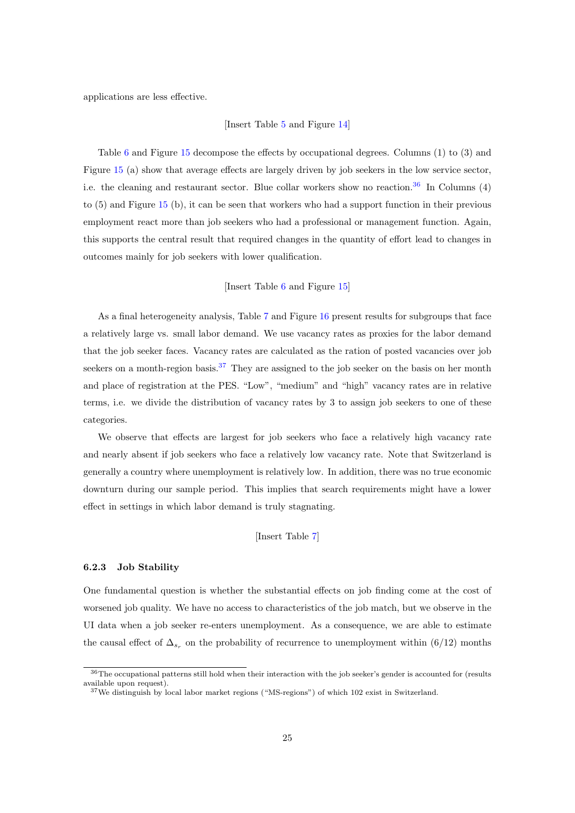applications are less effective.

#### [Insert Table [5](#page-39-0) and Figure [14\]](#page-39-1)

Table [6](#page-40-0) and Figure [15](#page-40-1) decompose the effects by occupational degrees. Columns (1) to (3) and Figure [15](#page-40-1) (a) show that average effects are largely driven by job seekers in the low service sector, i.e. the cleaning and restaurant sector. Blue collar workers show no reaction.<sup>[36](#page--1-0)</sup> In Columns  $(4)$ to (5) and Figure [15](#page-40-1) (b), it can be seen that workers who had a support function in their previous employment react more than job seekers who had a professional or management function. Again, this supports the central result that required changes in the quantity of effort lead to changes in outcomes mainly for job seekers with lower qualification.

#### [Insert Table [6](#page-40-0) and Figure [15\]](#page-40-1)

As a final heterogeneity analysis, Table [7](#page-41-0) and Figure [16](#page-41-1) present results for subgroups that face a relatively large vs. small labor demand. We use vacancy rates as proxies for the labor demand that the job seeker faces. Vacancy rates are calculated as the ration of posted vacancies over job seekers on a month-region basis.<sup>[37](#page--1-0)</sup> They are assigned to the job seeker on the basis on her month and place of registration at the PES. "Low", "medium" and "high" vacancy rates are in relative terms, i.e. we divide the distribution of vacancy rates by 3 to assign job seekers to one of these categories.

We observe that effects are largest for job seekers who face a relatively high vacancy rate and nearly absent if job seekers who face a relatively low vacancy rate. Note that Switzerland is generally a country where unemployment is relatively low. In addition, there was no true economic downturn during our sample period. This implies that search requirements might have a lower effect in settings in which labor demand is truly stagnating.

[Insert Table [7\]](#page-41-0)

#### 6.2.3 Job Stability

One fundamental question is whether the substantial effects on job finding come at the cost of worsened job quality. We have no access to characteristics of the job match, but we observe in the UI data when a job seeker re-enters unemployment. As a consequence, we are able to estimate the causal effect of  $\Delta_{s_r}$  on the probability of recurrence to unemployment within (6/12) months

<sup>36</sup>The occupational patterns still hold when their interaction with the job seeker's gender is accounted for (results available upon request).

<sup>&</sup>lt;sup>37</sup>We distinguish by local labor market regions ("MS-regions") of which 102 exist in Switzerland.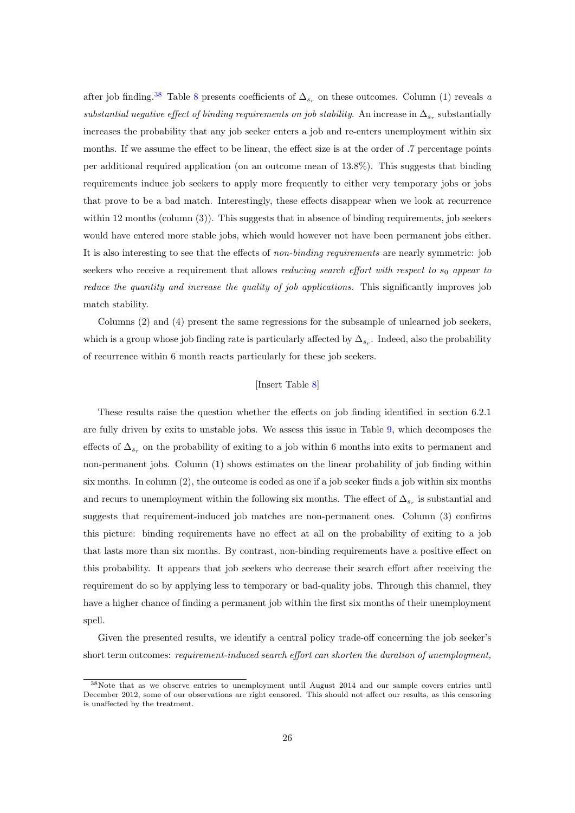after job finding.<sup>[38](#page--1-0)</sup> Table [8](#page-42-0) presents coefficients of  $\Delta_{s_r}$  on these outcomes. Column (1) reveals a substantial negative effect of binding requirements on job stability. An increase in  $\Delta_{s_r}$  substantially increases the probability that any job seeker enters a job and re-enters unemployment within six months. If we assume the effect to be linear, the effect size is at the order of .7 percentage points per additional required application (on an outcome mean of 13.8%). This suggests that binding requirements induce job seekers to apply more frequently to either very temporary jobs or jobs that prove to be a bad match. Interestingly, these effects disappear when we look at recurrence within 12 months (column (3)). This suggests that in absence of binding requirements, job seekers would have entered more stable jobs, which would however not have been permanent jobs either. It is also interesting to see that the effects of non-binding requirements are nearly symmetric: job seekers who receive a requirement that allows *reducing search effort with respect to*  $s_0$  appear to reduce the quantity and increase the quality of job applications. This significantly improves job match stability.

Columns (2) and (4) present the same regressions for the subsample of unlearned job seekers, which is a group whose job finding rate is particularly affected by  $\Delta_{s_r}$ . Indeed, also the probability of recurrence within 6 month reacts particularly for these job seekers.

#### [Insert Table [8\]](#page-42-0)

These results raise the question whether the effects on job finding identified in section 6.2.1 are fully driven by exits to unstable jobs. We assess this issue in Table [9,](#page-43-0) which decomposes the effects of  $\Delta_{s_r}$  on the probability of exiting to a job within 6 months into exits to permanent and non-permanent jobs. Column (1) shows estimates on the linear probability of job finding within six months. In column (2), the outcome is coded as one if a job seeker finds a job within six months and recurs to unemployment within the following six months. The effect of  $\Delta_{s_r}$  is substantial and suggests that requirement-induced job matches are non-permanent ones. Column (3) confirms this picture: binding requirements have no effect at all on the probability of exiting to a job that lasts more than six months. By contrast, non-binding requirements have a positive effect on this probability. It appears that job seekers who decrease their search effort after receiving the requirement do so by applying less to temporary or bad-quality jobs. Through this channel, they have a higher chance of finding a permanent job within the first six months of their unemployment spell.

Given the presented results, we identify a central policy trade-off concerning the job seeker's short term outcomes: requirement-induced search effort can shorten the duration of unemployment,

<sup>38</sup>Note that as we observe entries to unemployment until August 2014 and our sample covers entries until December 2012, some of our observations are right censored. This should not affect our results, as this censoring is unaffected by the treatment.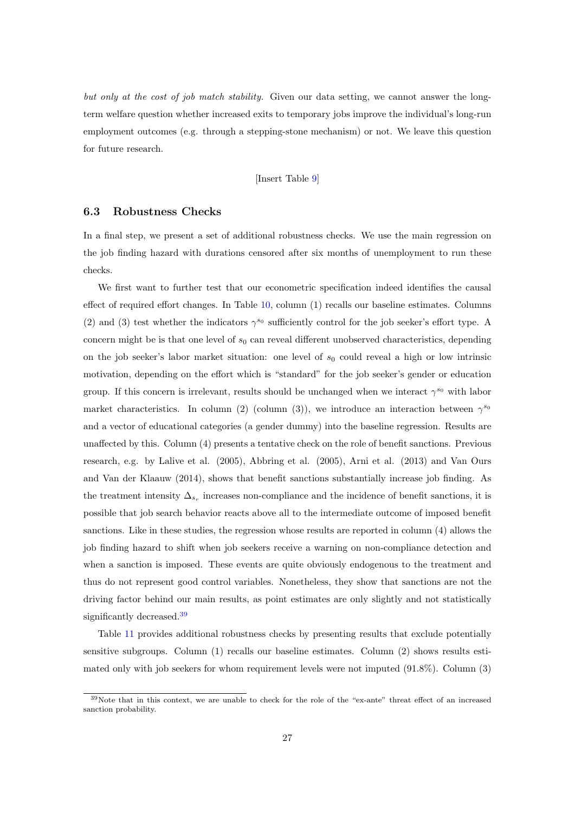but only at the cost of job match stability. Given our data setting, we cannot answer the longterm welfare question whether increased exits to temporary jobs improve the individual's long-run employment outcomes (e.g. through a stepping-stone mechanism) or not. We leave this question for future research.

[Insert Table [9\]](#page-43-0)

#### 6.3 Robustness Checks

In a final step, we present a set of additional robustness checks. We use the main regression on the job finding hazard with durations censored after six months of unemployment to run these checks.

We first want to further test that our econometric specification indeed identifies the causal effect of required effort changes. In Table [10,](#page-44-0) column (1) recalls our baseline estimates. Columns (2) and (3) test whether the indicators  $\gamma^{s_0}$  sufficiently control for the job seeker's effort type. A concern might be is that one level of  $s_0$  can reveal different unobserved characteristics, depending on the job seeker's labor market situation: one level of  $s_0$  could reveal a high or low intrinsic motivation, depending on the effort which is "standard" for the job seeker's gender or education group. If this concern is irrelevant, results should be unchanged when we interact  $\gamma^{s_0}$  with labor market characteristics. In column (2) (column (3)), we introduce an interaction between  $\gamma^{s_0}$ and a vector of educational categories (a gender dummy) into the baseline regression. Results are unaffected by this. Column (4) presents a tentative check on the role of benefit sanctions. Previous research, e.g. by Lalive et al. (2005), Abbring et al. (2005), Arni et al. (2013) and Van Ours and Van der Klaauw (2014), shows that benefit sanctions substantially increase job finding. As the treatment intensity  $\Delta_{s_r}$  increases non-compliance and the incidence of benefit sanctions, it is possible that job search behavior reacts above all to the intermediate outcome of imposed benefit sanctions. Like in these studies, the regression whose results are reported in column (4) allows the job finding hazard to shift when job seekers receive a warning on non-compliance detection and when a sanction is imposed. These events are quite obviously endogenous to the treatment and thus do not represent good control variables. Nonetheless, they show that sanctions are not the driving factor behind our main results, as point estimates are only slightly and not statistically significantly decreased.<sup>[39](#page--1-0)</sup>

Table [11](#page-45-0) provides additional robustness checks by presenting results that exclude potentially sensitive subgroups. Column (1) recalls our baseline estimates. Column (2) shows results estimated only with job seekers for whom requirement levels were not imputed (91.8%). Column (3)

<sup>39</sup>Note that in this context, we are unable to check for the role of the "ex-ante" threat effect of an increased sanction probability.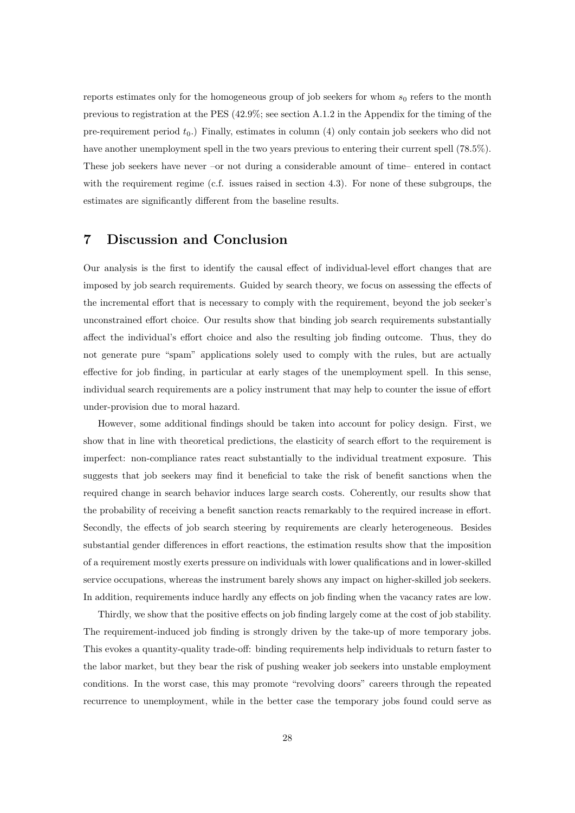reports estimates only for the homogeneous group of job seekers for whom  $s_0$  refers to the month previous to registration at the PES (42.9%; see section A.1.2 in the Appendix for the timing of the pre-requirement period  $t_0$ .) Finally, estimates in column (4) only contain job seekers who did not have another unemployment spell in the two years previous to entering their current spell (78.5%). These job seekers have never –or not during a considerable amount of time– entered in contact with the requirement regime (c.f. issues raised in section 4.3). For none of these subgroups, the estimates are significantly different from the baseline results.

## 7 Discussion and Conclusion

Our analysis is the first to identify the causal effect of individual-level effort changes that are imposed by job search requirements. Guided by search theory, we focus on assessing the effects of the incremental effort that is necessary to comply with the requirement, beyond the job seeker's unconstrained effort choice. Our results show that binding job search requirements substantially affect the individual's effort choice and also the resulting job finding outcome. Thus, they do not generate pure "spam" applications solely used to comply with the rules, but are actually effective for job finding, in particular at early stages of the unemployment spell. In this sense, individual search requirements are a policy instrument that may help to counter the issue of effort under-provision due to moral hazard.

However, some additional findings should be taken into account for policy design. First, we show that in line with theoretical predictions, the elasticity of search effort to the requirement is imperfect: non-compliance rates react substantially to the individual treatment exposure. This suggests that job seekers may find it beneficial to take the risk of benefit sanctions when the required change in search behavior induces large search costs. Coherently, our results show that the probability of receiving a benefit sanction reacts remarkably to the required increase in effort. Secondly, the effects of job search steering by requirements are clearly heterogeneous. Besides substantial gender differences in effort reactions, the estimation results show that the imposition of a requirement mostly exerts pressure on individuals with lower qualifications and in lower-skilled service occupations, whereas the instrument barely shows any impact on higher-skilled job seekers. In addition, requirements induce hardly any effects on job finding when the vacancy rates are low.

Thirdly, we show that the positive effects on job finding largely come at the cost of job stability. The requirement-induced job finding is strongly driven by the take-up of more temporary jobs. This evokes a quantity-quality trade-off: binding requirements help individuals to return faster to the labor market, but they bear the risk of pushing weaker job seekers into unstable employment conditions. In the worst case, this may promote "revolving doors" careers through the repeated recurrence to unemployment, while in the better case the temporary jobs found could serve as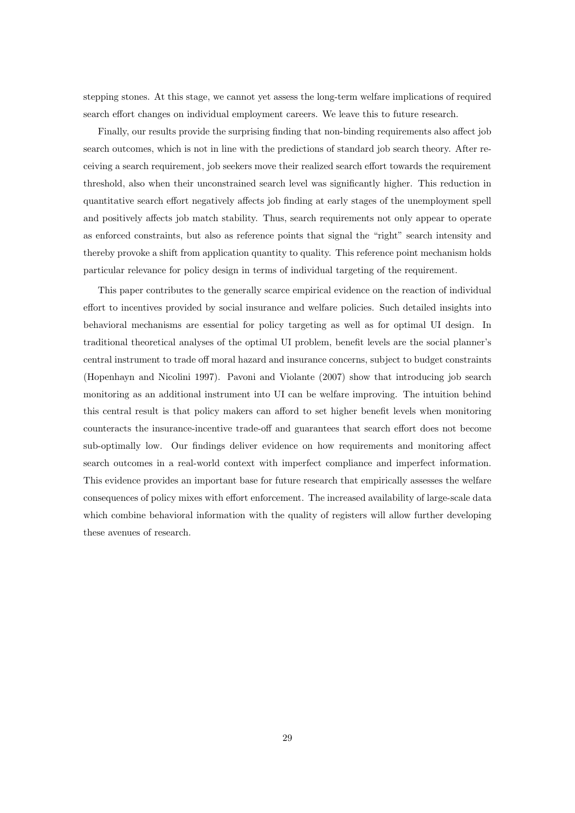stepping stones. At this stage, we cannot yet assess the long-term welfare implications of required search effort changes on individual employment careers. We leave this to future research.

Finally, our results provide the surprising finding that non-binding requirements also affect job search outcomes, which is not in line with the predictions of standard job search theory. After receiving a search requirement, job seekers move their realized search effort towards the requirement threshold, also when their unconstrained search level was significantly higher. This reduction in quantitative search effort negatively affects job finding at early stages of the unemployment spell and positively affects job match stability. Thus, search requirements not only appear to operate as enforced constraints, but also as reference points that signal the "right" search intensity and thereby provoke a shift from application quantity to quality. This reference point mechanism holds particular relevance for policy design in terms of individual targeting of the requirement.

This paper contributes to the generally scarce empirical evidence on the reaction of individual effort to incentives provided by social insurance and welfare policies. Such detailed insights into behavioral mechanisms are essential for policy targeting as well as for optimal UI design. In traditional theoretical analyses of the optimal UI problem, benefit levels are the social planner's central instrument to trade off moral hazard and insurance concerns, subject to budget constraints (Hopenhayn and Nicolini 1997). Pavoni and Violante (2007) show that introducing job search monitoring as an additional instrument into UI can be welfare improving. The intuition behind this central result is that policy makers can afford to set higher benefit levels when monitoring counteracts the insurance-incentive trade-off and guarantees that search effort does not become sub-optimally low. Our findings deliver evidence on how requirements and monitoring affect search outcomes in a real-world context with imperfect compliance and imperfect information. This evidence provides an important base for future research that empirically assesses the welfare consequences of policy mixes with effort enforcement. The increased availability of large-scale data which combine behavioral information with the quality of registers will allow further developing these avenues of research.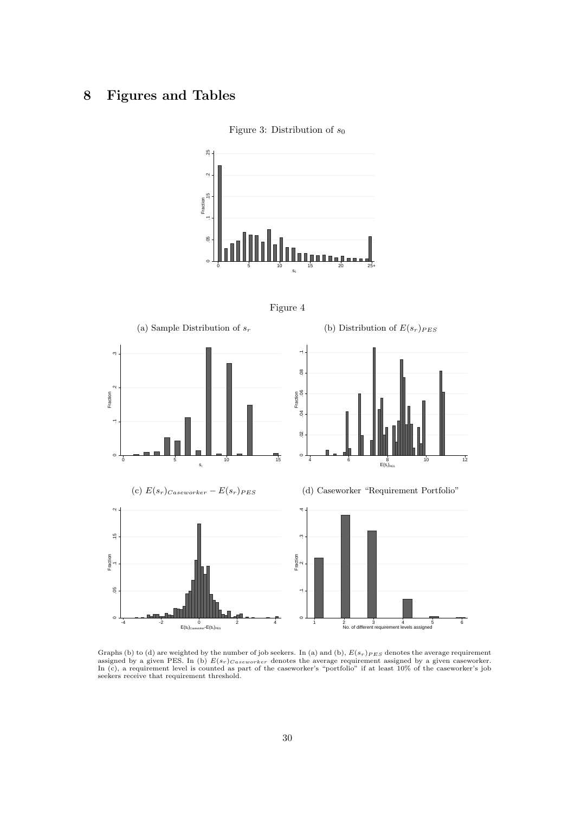## <span id="page-31-0"></span>8 Figures and Tables







<span id="page-31-1"></span>

Graphs (b) to (d) are weighted by the number of job seekers. In (a) and (b),  $E(s_r)_{PES}$  denotes the average requirement<br>assigned by a given PES. In (b)  $E(s_r)_{Case \text{worker}}$  denotes the average requirement assigned by a given cas seekers receive that requirement threshold.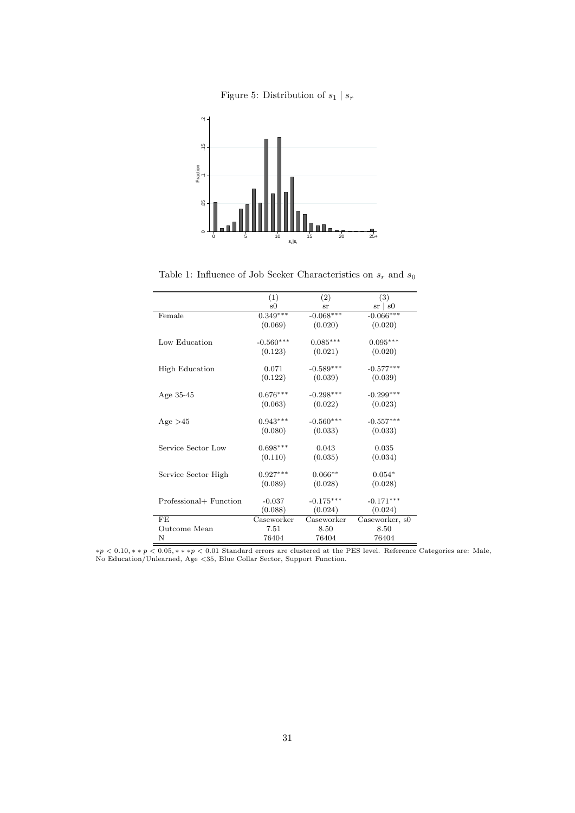

<span id="page-32-0"></span>

<span id="page-32-1"></span>Table 1: Influence of Job Seeker Characteristics on  $\boldsymbol{s}_r$  and  $\boldsymbol{s}_0$ 

| (1)         | (2)         | (3)            |
|-------------|-------------|----------------|
| s0          | sr          | $sr \mid s0$   |
|             |             | $-0.066***$    |
| (0.069)     | (0.020)     | (0.020)        |
| $-0.560***$ | $0.085***$  | $0.095***$     |
| (0.123)     | (0.021)     | (0.020)        |
| 0.071       | $-0.589***$ | $-0.577***$    |
| (0.122)     | (0.039)     | (0.039)        |
| $0.676***$  | $-0.298***$ | $-0.299***$    |
| (0.063)     | (0.022)     | (0.023)        |
| $0.943***$  | $-0.560***$ | $-0.557***$    |
| (0.080)     | (0.033)     | (0.033)        |
| $0.698***$  | 0.043       | 0.035          |
| (0.110)     | (0.035)     | (0.034)        |
| $0.927***$  | $0.066**$   | $0.054*$       |
| (0.089)     | (0.028)     | (0.028)        |
| $-0.037$    | $-0.175***$ | $-0.171***$    |
| (0.088)     | (0.024)     | (0.024)        |
| Caseworker  | Caseworker  | Caseworker, s0 |
| 7.51        | 8.50        | 8.50           |
| 76404       | 76404       | 76404          |
|             | $0.349***$  | $-0.068***$    |

∗p < 0.10, ∗ ∗ p < 0.05, ∗ ∗ ∗p < 0.01 Standard errors are clustered at the PES level. Reference Categories are: Male, No Education/Unlearned, Age <35, Blue Collar Sector, Support Function.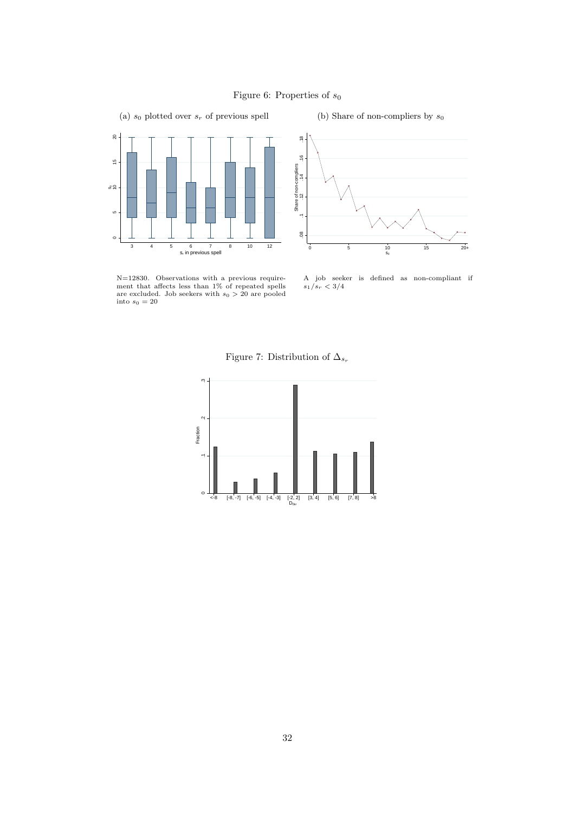

<span id="page-33-0"></span>(a)  $s_0$  plotted over  $s_r$  of previous spell

(b) Share of non-compliers by  $s_0$ 



<span id="page-33-1"></span>N=12830. Observations with a previous requirement that affects less than 1% of repeated spells are excluded. Job seekers with  $s_0 > 20$  are pooled into  $s_0 = 20$ 



A job seeker is defined as non-compliant if  $s_1/s_r < 3/4$ 

Figure 7: Distribution of  $\Delta_{s_r}$ 

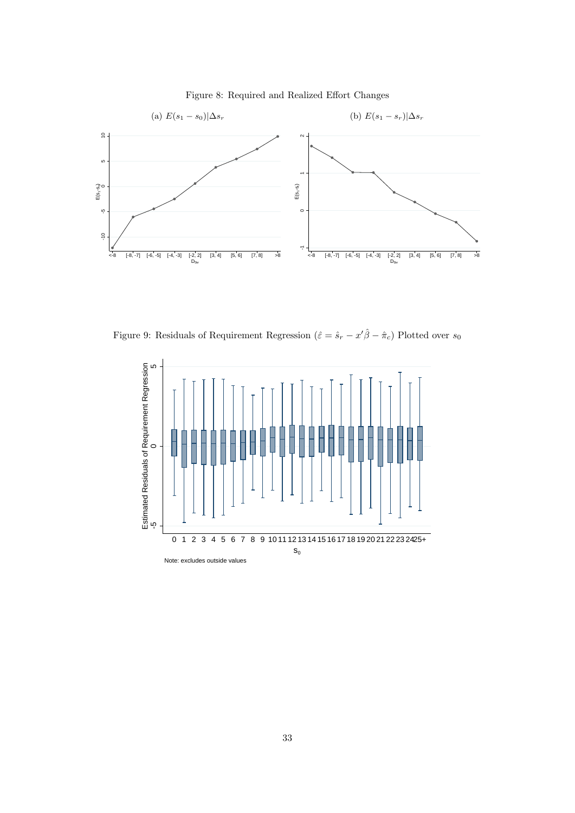<span id="page-34-0"></span>

Figure 8: Required and Realized Effort Changes

<span id="page-34-1"></span>Figure 9: Residuals of Requirement Regression  $(\hat{\varepsilon} = \hat{s}_r - x'\hat{\beta} - \hat{\pi}_c)$  Plotted over  $s_0$ 

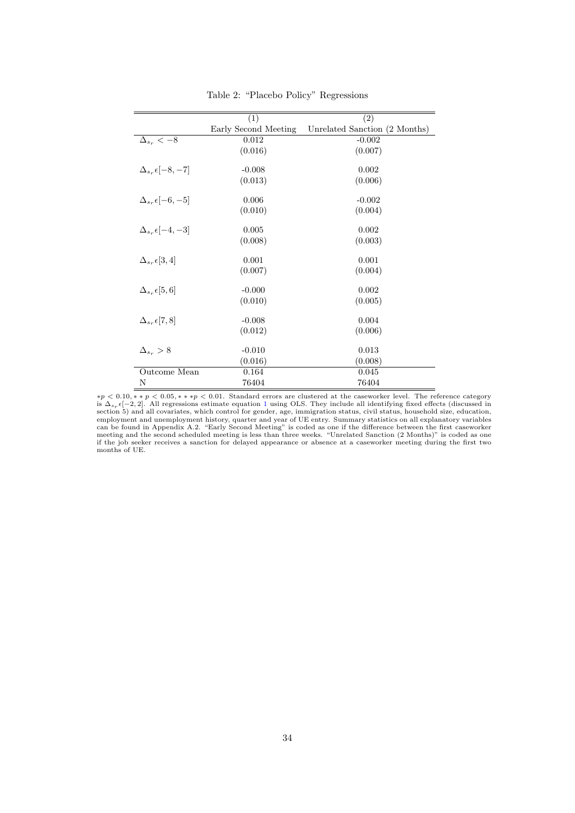<span id="page-35-0"></span>

|                                  | $\overline{(1)}$     | $\overline{(2)}$              |
|----------------------------------|----------------------|-------------------------------|
|                                  | Early Second Meeting | Unrelated Sanction (2 Months) |
| $\Delta_{s_r} < -8$              | 0.012                | $-0.002$                      |
|                                  | (0.016)              | (0.007)                       |
| $\Delta_{s_n} \epsilon$ -8. -7   | $-0.008$             | 0.002                         |
|                                  | (0.013)              | (0.006)                       |
| $\Delta_{s_r} \epsilon [-6, -5]$ | 0.006                | $-0.002$                      |
|                                  | (0.010)              | (0.004)                       |
| $\Delta_{s_r} \epsilon [-4, -3]$ | 0.005                | 0.002                         |
|                                  | (0.008)              | (0.003)                       |
| $\Delta_{s_r} \epsilon[3,4]$     | 0.001                | 0.001                         |
|                                  | (0.007)              | (0.004)                       |
| $\Delta_{ss}$ $\epsilon$ [5, 6]  | $-0.000$             | 0.002                         |
|                                  | (0.010)              | (0.005)                       |
| $\Delta_{ss}$ $\epsilon$ [7, 8]  | $-0.008$             | 0.004                         |
|                                  | (0.012)              | (0.006)                       |
| $\Delta_{ss} > 8$                | $-0.010$             | 0.013                         |
|                                  | (0.016)              | (0.008)                       |
| Outcome Mean                     | 0.164                | 0.045                         |
| N                                | 76404                | 76404                         |

Table 2: "Placebo Policy" Regressions

 $*p < 0.10, *&p < 0.05, **&p < 0.01$ . Standard errors are clustered at the caseworker level. The reference category is  $\Delta_{s_r} \epsilon[-2,2]$ . All regressions estimate equation [1](#page-17-0) using OLS. They include all identifying fixed effects (discussed in<br>section 5) and all covariates, which control for gender, age, immigration status, civil status, h months of UE.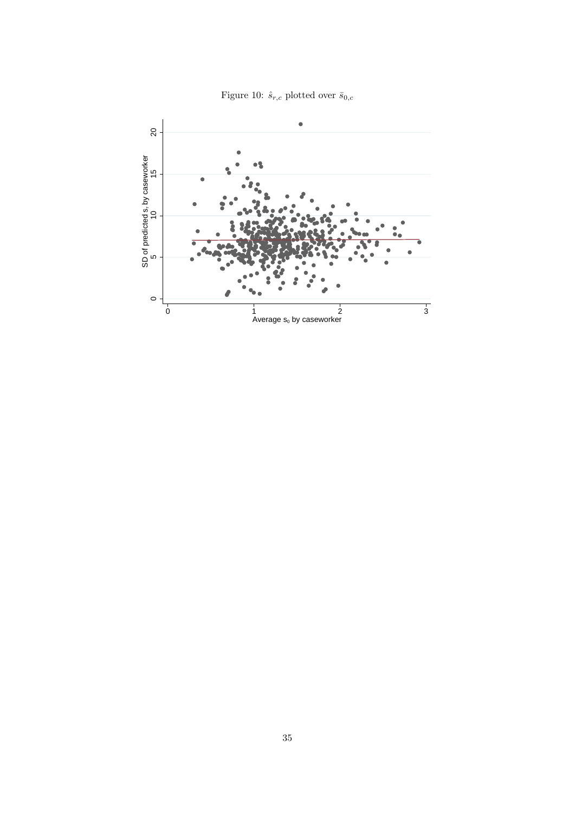Figure 10:  $\hat{s}_{r,c}$  plotted over  $\bar{s}_{0,c}$ 

<span id="page-36-0"></span>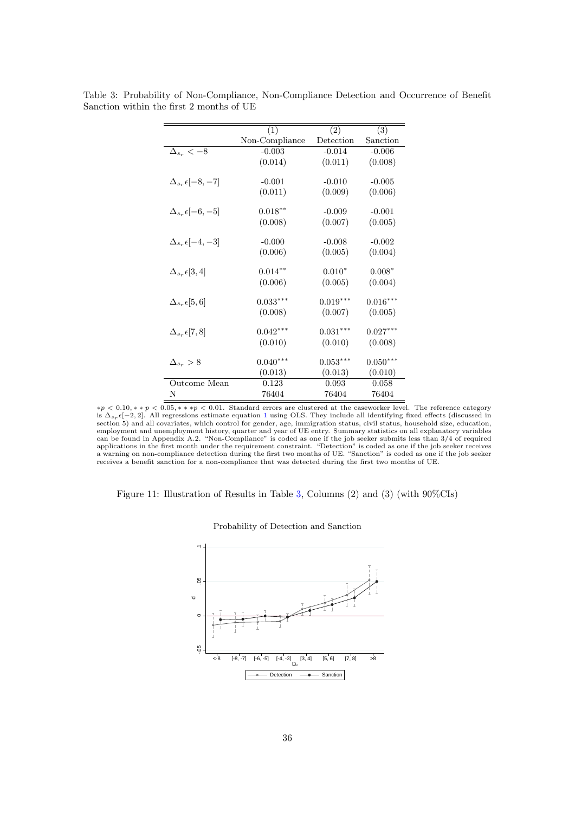|                                  | (1)            | (2)        | (3)        |
|----------------------------------|----------------|------------|------------|
|                                  | Non-Compliance | Detection  | Sanction   |
| $\Delta_{s_r} < -8$              | $-0.003$       | $-0.014$   | $-0.006$   |
|                                  | (0.014)        | (0.011)    | (0.008)    |
| $\Delta_{s_r} \epsilon [-8, -7]$ | $-0.001$       | $-0.010$   | $-0.005$   |
|                                  | (0.011)        | (0.009)    | (0.006)    |
|                                  | $0.018***$     | $-0.009$   | $-0.001$   |
| $\Delta_{s_r} \epsilon [-6, -5]$ |                |            |            |
|                                  | (0.008)        | (0.007)    | (0.005)    |
| $\Delta_{s_r} \epsilon [-4, -3]$ | $-0.000$       | $-0.008$   | $-0.002$   |
|                                  | (0.006)        | (0.005)    | (0.004)    |
| $\Delta_{s_r} \epsilon [3,4]$    | $0.014***$     | $0.010*$   | $0.008*$   |
|                                  | (0.006)        | (0.005)    | (0.004)    |
| $\Delta_{s_r} \epsilon[5,6]$     | $0.033***$     | $0.019***$ | $0.016***$ |
|                                  | (0.008)        | (0.007)    | (0.005)    |
|                                  | $0.042***$     | $0.031***$ | $0.027***$ |
| $\Delta_{s_r} \epsilon [7,8]$    |                |            |            |
|                                  | (0.010)        | (0.010)    | (0.008)    |
| $\Delta_{ss} > 8$                | $0.040***$     | $0.053***$ | $0.050***$ |
|                                  | (0.013)        | (0.013)    | (0.010)    |
| Outcome Mean                     | 0.123          | 0.093      | 0.058      |
| N                                | 76404          | 76404      | 76404      |

<span id="page-37-0"></span>Table 3: Probability of Non-Compliance, Non-Compliance Detection and Occurrence of Benefit Sanction within the first 2 months of UE

 $*p < 0.10, *&p < 0.05, **&p < 0.01$ . Standard errors are clustered at the caseworker level. The reference category is  $\Delta_{s_{\tau}}\epsilon[-2,2]$ . All regressions estimate equation [1](#page-17-0) using OLS. They include all identifying fixed effects (discussed in<br>section 5) and all covariates, which control for gender, age, immigration status, civil status, can be found in Appendix A.2. "Non-Compliance" is coded as one if the job seeker submits less than 3/4 of required applications in the first month under the requirement constraint. "Detection" is coded as one if the job seeker receives<br>a warning on non-compliance detection during the first two months of UE. "Sanction" is coded as one i receives a benefit sanction for a non-compliance that was detected during the first two months of UE.

<span id="page-37-1"></span>

|  |  | Figure 11: Illustration of Results in Table 3, Columns $(2)$ and $(3)$ (with $90\%$ CIs) |  |  |  |  |  |
|--|--|------------------------------------------------------------------------------------------|--|--|--|--|--|
|--|--|------------------------------------------------------------------------------------------|--|--|--|--|--|



Probability of Detection and Sanction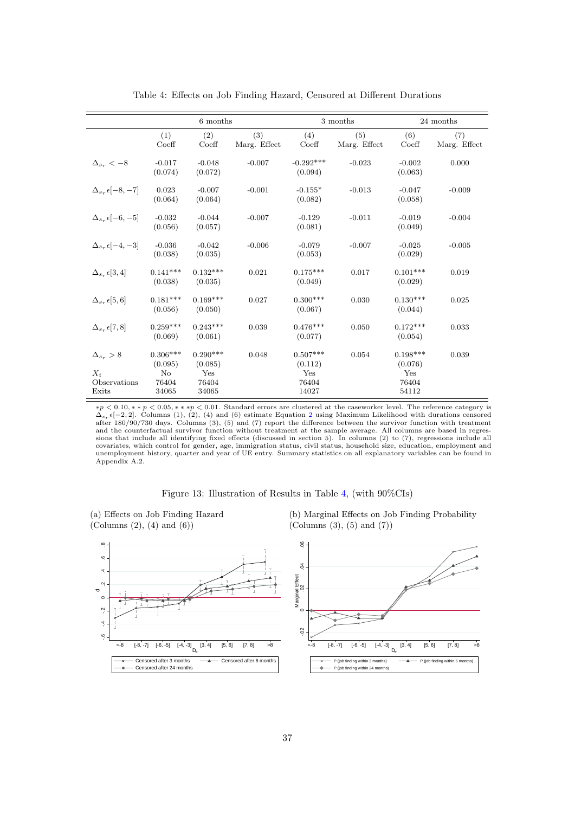<span id="page-38-0"></span>

|                                                      |                                               | 6 months                                       |                     |                                                | 3 months            |                                                | 24 months           |
|------------------------------------------------------|-----------------------------------------------|------------------------------------------------|---------------------|------------------------------------------------|---------------------|------------------------------------------------|---------------------|
|                                                      | (1)<br>Coeff                                  | (2)<br>$\mathrm{Coeff}$                        | (3)<br>Marg. Effect | (4)<br>Coeff                                   | (5)<br>Marg. Effect | (6)<br>Coeff                                   | (7)<br>Marg. Effect |
| $\Delta_{ss} < -8$                                   | $-0.017$<br>(0.074)                           | $-0.048$<br>(0.072)                            | $-0.007$            | $-0.292***$<br>(0.094)                         | $-0.023$            | $-0.002$<br>(0.063)                            | 0.000               |
| $\Delta_{s_r} \epsilon [-8, -7]$                     | 0.023<br>(0.064)                              | $-0.007$<br>(0.064)                            | $-0.001$            | $-0.155*$<br>(0.082)                           | $-0.013$            | $-0.047$<br>(0.058)                            | $-0.009$            |
| $\Delta_{s_r} \epsilon [-6, -5]$                     | $-0.032$<br>(0.056)                           | $-0.044$<br>(0.057)                            | $-0.007$            | $-0.129$<br>(0.081)                            | $-0.011$            | $-0.019$<br>(0.049)                            | $-0.004$            |
| $\Delta_{s_r} \epsilon [-4,-3]$                      | $-0.036$<br>(0.038)                           | $-0.042$<br>(0.035)                            | $-0.006$            | $-0.079$<br>(0.053)                            | $-0.007$            | $-0.025$<br>(0.029)                            | $-0.005$            |
| $\Delta_{s_r} \epsilon [3,4]$                        | $0.141***$<br>(0.038)                         | $0.132***$<br>(0.035)                          | 0.021               | $0.175***$<br>(0.049)                          | 0.017               | $0.101***$<br>(0.029)                          | 0.019               |
| $\Delta_{s,r} \epsilon[5,6]$                         | $0.181***$<br>(0.056)                         | $0.169***$<br>(0.050)                          | 0.027               | $0.300***$<br>(0.067)                          | 0.030               | $0.130***$<br>(0.044)                          | 0.025               |
| $\Delta_{s_r} \epsilon [7,8]$                        | $0.259***$<br>(0.069)                         | $0.243***$<br>(0.061)                          | 0.039               | $0.476***$<br>(0.077)                          | 0.050               | $0.172***$<br>(0.054)                          | 0.033               |
| $\Delta_{s_r} > 8$<br>$X_i$<br>Observations<br>Exits | $0.306***$<br>(0.095)<br>No<br>76404<br>34065 | $0.290***$<br>(0.085)<br>Yes<br>76404<br>34065 | 0.048               | $0.507***$<br>(0.112)<br>Yes<br>76404<br>14027 | 0.054               | $0.198***$<br>(0.076)<br>Yes<br>76404<br>54112 | 0.039               |

Table 4: Effects on Job Finding Hazard, Censored at Different Durations

 $*p < 0.10, *p < 0.05, **p < 0.01$ . Standard errors are clustered at the caseworker level. The reference category is  $\Delta_{s_r} \epsilon [-2,2]$  $\Delta_{s_r} \epsilon [-2,2]$  $\Delta_{s_r} \epsilon [-2,2]$ . Columns (1), (2), (4) and (6) estimate Equation 2 using Maximum Likelihood with durations censored after 180/90/730 days. Columns (3), (5) and (7) report the difference between the survivor function with and the counterfactual survivor function without treatment at the sample average. All columns are based in regressions that include all identifying fixed effects (discussed in section 5). In columns (2) to (7), regressions include all covariates, which control for gender, age, immigration status, civil status, household size, education, employment and<br>unemployment history, quarter and year of UE entry. Summary statistics on all explanatory variables can Appendix A.2.

#### Figure 13: Illustration of Results in Table [4,](#page-38-0) (with 90%CIs)

<span id="page-38-1"></span>(a) Effects on Job Finding Hazard (Columns (2), (4) and (6))

(b) Marginal Effects on Job Finding Probability (Columns (3), (5) and (7))

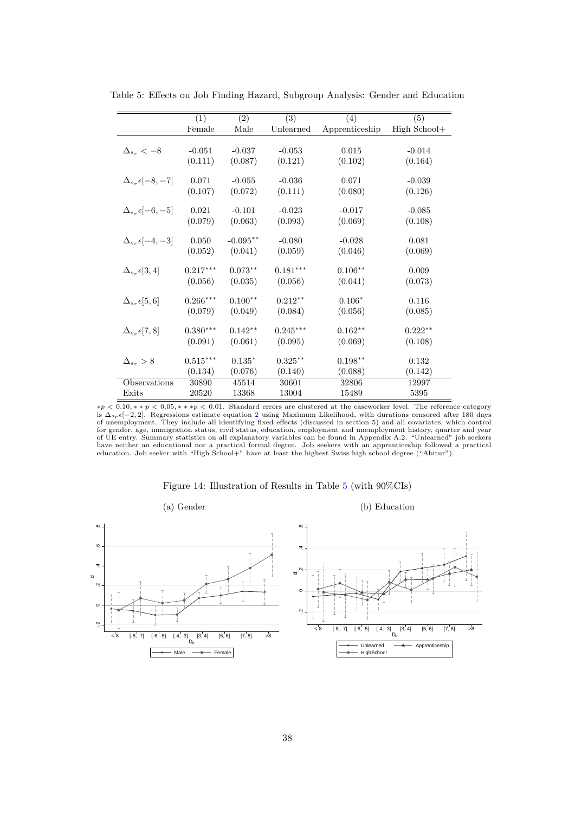|                                  | (1)        | $\overline{(2)}$ | $\overline{(3)}$ | (4)            | (5)          |
|----------------------------------|------------|------------------|------------------|----------------|--------------|
|                                  | Female     | Male             | Unlearned        | Apprenticeship | High School+ |
|                                  |            |                  |                  |                |              |
| $\Delta_{s_r} < -8$              | $-0.051$   | $-0.037$         | $-0.053$         | 0.015          | $-0.014$     |
|                                  | (0.111)    | (0.087)          | (0.121)          | (0.102)        | (0.164)      |
| $\Delta_{s_r} \epsilon [-8, -7]$ | 0.071      | $-0.055$         | $-0.036$         | 0.071          | $-0.039$     |
|                                  |            |                  |                  |                |              |
|                                  | (0.107)    | (0.072)          | (0.111)          | (0.080)        | (0.126)      |
| $\Delta_{s_r} \epsilon [-6, -5]$ | 0.021      | $-0.101$         | $-0.023$         | $-0.017$       | $-0.085$     |
|                                  | (0.079)    | (0.063)          | (0.093)          | (0.069)        | (0.108)      |
|                                  |            |                  |                  |                |              |
| $\Delta_{s_r} \epsilon [-4, -3]$ | 0.050      | $-0.095**$       | $-0.080$         | $-0.028$       | 0.081        |
|                                  | (0.052)    | (0.041)          | (0.059)          | (0.046)        | (0.069)      |
|                                  |            |                  |                  |                |              |
| $\Delta_{ss} \epsilon [3,4]$     | $0.217***$ | $0.073**$        | $0.181***$       | $0.106***$     | 0.009        |
|                                  | (0.056)    | (0.035)          | (0.056)          | (0.041)        | (0.073)      |
|                                  |            |                  |                  |                |              |
| $\Delta_{ss}$ $\epsilon$ [5, 6]  | $0.266***$ | $0.100**$        | $0.212**$        | $0.106*$       | 0.116        |
|                                  | (0.079)    | (0.049)          | (0.084)          | (0.056)        | (0.085)      |
|                                  |            |                  |                  |                |              |
| $\Delta_{s_r} \epsilon [7, 8]$   | $0.380***$ | $0.142**$        | $0.245***$       | $0.162**$      | $0.222**$    |
|                                  | (0.091)    | (0.061)          | (0.095)          | (0.069)        | (0.108)      |
|                                  |            |                  |                  |                |              |
| $\Delta_{s_r} > 8$               | $0.515***$ | $0.135*$         | $0.325***$       | $0.198**$      | 0.132        |
|                                  | (0.134)    | (0.076)          | (0.140)          | (0.088)        | (0.142)      |
| Observations                     | 30890      | 45514            | 30601            | 32806          | 12997        |
| Exits                            | 20520      | 13368            | 13004            | 15489          | 5395         |

<span id="page-39-0"></span>Table 5: Effects on Job Finding Hazard, Subgroup Analysis: Gender and Education

 $*p < 0.10, *&p < 0.05, **&p < 0.01$ . Standard errors are clustered at the caseworker level. The reference category is  $\Delta_{s_{\tau}}\epsilon[-2,2]$  $\Delta_{s_{\tau}}\epsilon[-2,2]$  $\Delta_{s_{\tau}}\epsilon[-2,2]$ . Regressions estimate equation 2 using Maximum Likelihood, with durations censored after 180 days<br>of unemployment. They include all identifying fixed effects (discussed in section 5) and all covariate for gender, age, immigration status, civil status, education, employment and unemployment history, quarter and year of UE entry. Summary statistics on all explanatory variables can be found in Appendix A.2. "Unlearned" job seekers<br>have neither an educational nor a practical formal degree. Job seekers with an apprenticeship followed a p

<span id="page-39-1"></span>

Figure 14: Illustration of Results in Table [5](#page-39-0) (with 90%CIs)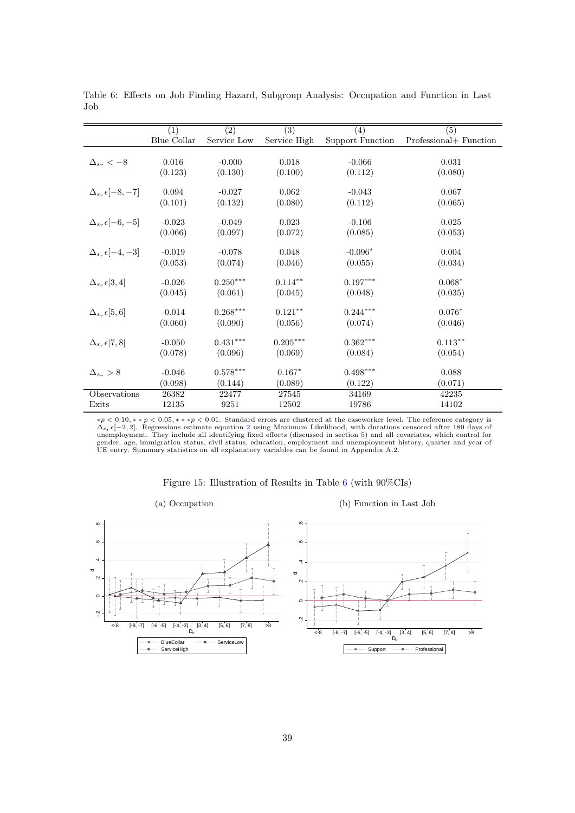|                                  | (1)         | $\overline{(2)}$ | $\overline{(3)}$ | (4)              | $\overline{(5)}$       |
|----------------------------------|-------------|------------------|------------------|------------------|------------------------|
|                                  | Blue Collar | Service Low      | Service High     | Support Function | Professional+ Function |
|                                  |             |                  |                  |                  |                        |
| $\Delta_{s_r} < -8$              | 0.016       | $-0.000$         | 0.018            | $-0.066$         | 0.031                  |
|                                  | (0.123)     | (0.130)          | (0.100)          | (0.112)          | (0.080)                |
| $\Delta_{s_r} \epsilon [-8, -7]$ | 0.094       | $-0.027$         | 0.062            | $-0.043$         | 0.067                  |
|                                  | (0.101)     | (0.132)          | (0.080)          | (0.112)          | (0.065)                |
| $\Delta_{s_r} \epsilon [-6, -5]$ | $-0.023$    | $-0.049$         | 0.023            | $-0.106$         | 0.025                  |
|                                  | (0.066)     | (0.097)          | (0.072)          | (0.085)          | (0.053)                |
|                                  |             |                  |                  |                  |                        |
| $\Delta_{s_r} \epsilon [-4, -3]$ | $-0.019$    | $-0.078$         | 0.048            | $-0.096*$        | 0.004                  |
|                                  | (0.053)     | (0.074)          | (0.046)          | (0.055)          | (0.034)                |
| $\Delta_{s_r} \epsilon[3,4]$     | $-0.026$    | $0.250***$       | $0.114***$       | $0.197***$       | $0.068*$               |
|                                  | (0.045)     | (0.061)          | (0.045)          | (0.048)          | (0.035)                |
| $\Delta_{sr} \epsilon [5,6]$     | $-0.014$    | $0.268***$       | $0.121***$       | $0.244***$       | $0.076*$               |
|                                  | (0.060)     | (0.090)          | (0.056)          | (0.074)          | (0.046)                |
|                                  | $-0.050$    | $0.431***$       | $0.205***$       | $0.362***$       | $0.113***$             |
| $\Delta_{s_r} \epsilon [7,8]$    |             |                  |                  |                  |                        |
|                                  | (0.078)     | (0.096)          | (0.069)          | (0.084)          | (0.054)                |
| $\Delta_{s_r} > 8$               | $-0.046$    | $0.578***$       | $0.167*$         | $0.498***$       | 0.088                  |
|                                  | (0.098)     | (0.144)          | (0.089)          | (0.122)          | (0.071)                |
| Observations                     | 26382       | 22477            | 27545            | 34169            | 42235                  |
| Exits                            | 12135       | 9251             | 12502            | 19786            | 14102                  |

<span id="page-40-0"></span>Table 6: Effects on Job Finding Hazard, Subgroup Analysis: Occupation and Function in Last Job

 $*p < 0.10, *p < 0.05, **p < 0.01$ . Standard errors are clustered at the caseworker level. The reference category is  $\Delta_{s_r} \epsilon [-2, 2]$  $\Delta_{s_r} \epsilon [-2, 2]$  $\Delta_{s_r} \epsilon [-2, 2]$ . Regressions estimate equation 2 using Maximum Likelihood, with durations censored after 180 days of unemployment. They include all identifying fixed effects (discussed in section 5) and all covariates, w

<span id="page-40-1"></span>

|                                                | (a) Occupation                                                                                  | (b) Function in Last Job                                                                                                  |
|------------------------------------------------|-------------------------------------------------------------------------------------------------|---------------------------------------------------------------------------------------------------------------------------|
| $\infty$<br>$\circ$                            |                                                                                                 | $\infty$<br>$\omega$                                                                                                      |
| $\overline{A}$ .<br>$\infty$<br>$\mathbb{N}$ . |                                                                                                 | $\infty$                                                                                                                  |
| $\circ$<br>$\mathbb{N}$ .<br>$<-8$             | >8                                                                                              | $\circ$<br>$\sim$                                                                                                         |
|                                                | $[-8, -7]$ $[-6, -5]$ $[-4, -3]$<br>[7, 8]<br>[5, 6]<br>[3, 4]<br>- BlueCollar<br>- ServiceHigh | [5, 6]<br>[7, 8]<br>>8<br>$<-8$ $[-8, -7]$ $[-6, -5]$ $[-4, -3]$<br>[3, 4]<br>- Professional<br>$\longrightarrow$ Support |

Figure 15: Illustration of Results in Table [6](#page-40-0) (with 90%CIs)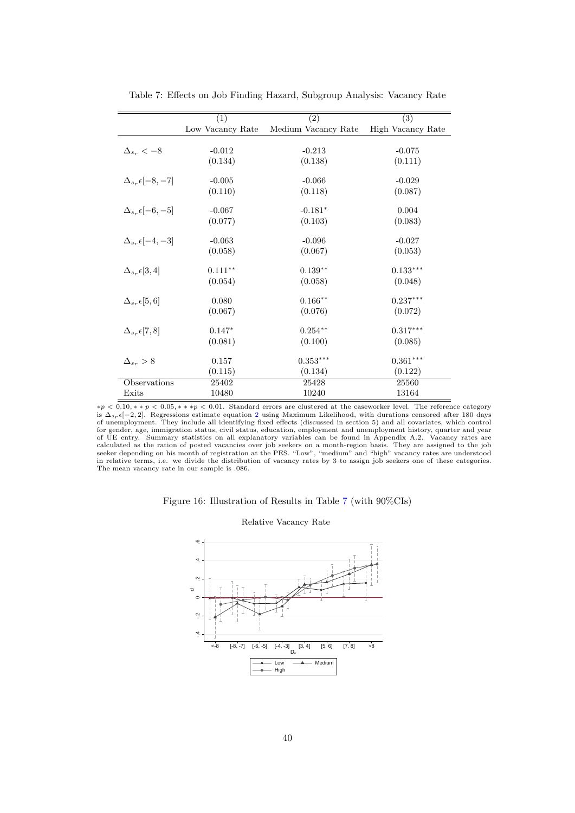<span id="page-41-0"></span>

|                                 | (1)              | (2)                 | (3)               |
|---------------------------------|------------------|---------------------|-------------------|
|                                 | Low Vacancy Rate | Medium Vacancy Rate | High Vacancy Rate |
|                                 |                  |                     |                   |
| $\Delta_{s_r} < -8$             | $-0.012$         | $-0.213$            | $-0.075$          |
|                                 | (0.134)          | (0.138)             | (0.111)           |
|                                 |                  |                     |                   |
| $\Delta_{ss} \epsilon$ -8, -7   | $-0.005$         | $-0.066$            | $-0.029$          |
|                                 | (0.110)          | (0.118)             | (0.087)           |
| $\Delta_{ss} \epsilon [-6, -5]$ | $-0.067$         | $-0.181*$           | 0.004             |
|                                 | (0.077)          | (0.103)             | (0.083)           |
|                                 |                  |                     |                   |
| $\Delta_{ss} \epsilon$ -4, -3   | $-0.063$         | $-0.096$            | $-0.027$          |
|                                 | (0.058)          | (0.067)             | (0.053)           |
| $\Delta_{s_r} \epsilon[3,4]$    | $0.111***$       | $0.139**$           | $0.133***$        |
|                                 | (0.054)          | (0.058)             | (0.048)           |
| $\Delta_{s_r} \epsilon[5,6]$    | 0.080            | $0.166**$           | $0.237***$        |
|                                 | (0.067)          | (0.076)             | (0.072)           |
|                                 |                  |                     |                   |
| $\Delta_{ss}$ $\epsilon$   7, 8 | $0.147*$         | $0.254***$          | $0.317***$        |
|                                 | (0.081)          | (0.100)             | (0.085)           |
| $\Delta_{ss} > 8$               | 0.157            | $0.353***$          | $0.361***$        |
|                                 | (0.115)          | (0.134)             | (0.122)           |
| Observations                    | 25402            | 25428               | 25560             |
| Exits                           | 10480            | 10240               | 13164             |

Table 7: Effects on Job Finding Hazard, Subgroup Analysis: Vacancy Rate

 $*p < 0.10, *&p < 0.05, **&p < 0.01$ . Standard errors are clustered at the caseworker level. The reference category is  $\Delta_{s_{\tau}}\epsilon[-2,2]$  $\Delta_{s_{\tau}}\epsilon[-2,2]$  $\Delta_{s_{\tau}}\epsilon[-2,2]$ . Regressions estimate equation 2 using Maximum Likelihood, with durations censored after 180 days<br>of unemployment. They include all identifying fixed effects (discussed in section 5) and all covariate for gender, age, immigration status, civil status, education, employment and unemployment history, quarter and year<br>of UE entry. Summary statistics on all explanatory variables can be found in Appendix A.2. Vacancy rates a in relative terms, i.e. we divide the distribution of vacancy rates by 3 to assign job seekers one of these categories. The mean vacancy rate in our sample is .086.

#### <span id="page-41-1"></span>Figure 16: Illustration of Results in Table [7](#page-41-0) (with 90%CIs)



Relative Vacancy Rate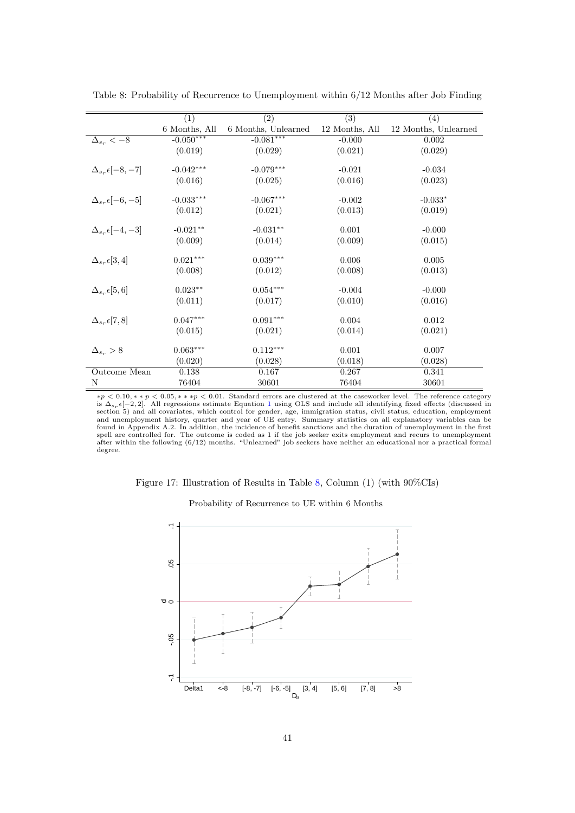|                                  | (1)           | (2)                 | $\overline{(3)}$ | (4)                  |
|----------------------------------|---------------|---------------------|------------------|----------------------|
|                                  | 6 Months, All | 6 Months, Unlearned | 12 Months, All   | 12 Months, Unlearned |
| $\Delta_{s_r} < -8$              | $-0.050***$   | $-0.081***$         | $-0.000$         | 0.002                |
|                                  | (0.019)       | (0.029)             | (0.021)          | (0.029)              |
|                                  |               |                     |                  |                      |
| $\Delta_{s_r} \epsilon [-8, -7]$ | $-0.042***$   | $-0.079***$         | $-0.021$         | $-0.034$             |
|                                  | (0.016)       | (0.025)             | (0.016)          | (0.023)              |
|                                  |               |                     |                  |                      |
| $\Delta_{s_r} \epsilon [-6, -5]$ | $-0.033***$   | $-0.067***$         | $-0.002$         | $-0.033*$            |
|                                  | (0.012)       | (0.021)             | (0.013)          | (0.019)              |
| $\Delta_{s_r} \epsilon [-4, -3]$ | $-0.021**$    | $-0.031**$          | 0.001            | $-0.000$             |
|                                  | (0.009)       | (0.014)             | (0.009)          | (0.015)              |
|                                  |               |                     |                  |                      |
| $\Delta_{s_r} \epsilon[3,4]$     | $0.021***$    | $0.039***$          | 0.006            | 0.005                |
|                                  | (0.008)       | (0.012)             | (0.008)          | (0.013)              |
|                                  | $0.023***$    | $0.054***$          |                  |                      |
| $\Delta_{s_r} \epsilon[5,6]$     |               |                     | $-0.004$         | $-0.000$             |
|                                  | (0.011)       | (0.017)             | (0.010)          | (0.016)              |
| $\Delta_{s_r} \epsilon [7,8]$    | $0.047***$    | $0.091***$          | 0.004            | 0.012                |
|                                  | (0.015)       | (0.021)             | (0.014)          | (0.021)              |
|                                  |               |                     |                  |                      |
| $\Delta_{s_r} > 8$               | $0.063***$    | $0.112***$          | 0.001            | 0.007                |
|                                  | (0.020)       | (0.028)             | (0.018)          | (0.028)              |
| Outcome Mean                     | 0.138         | 0.167               | 0.267            | 0.341                |
| N                                | 76404         | 30601               | 76404            | 30601                |

<span id="page-42-0"></span>Table 8: Probability of Recurrence to Unemployment within 6/12 Months after Job Finding

 $*p < 0.10, *&p < 0.05, **&p < 0.01$ . Standard errors are clustered at the caseworker level. The reference category is  $\Delta_{s_{\tau}}\epsilon[-2,2]$ . All regressions estimate Equation [1](#page-17-0) using OLS and include all identifying fixed effects (discussed in<br>section 5) and all covariates, which control for gender, age, immigration status, civil status, e found in Appendix A.2. In addition, the incidence of benefit sanctions and the duration of unemployment in the first spell are controlled for. The outcome is coded as 1 if the job seeker exits employment and recurs to unemployment<br>after within the following (6/12) months. "Unlearned" job seekers have neither an educational nor a practica degree.

Figure 17: Illustration of Results in Table [8,](#page-42-0) Column (1) (with 90%CIs)

Probability of Recurrence to UE within 6 Months

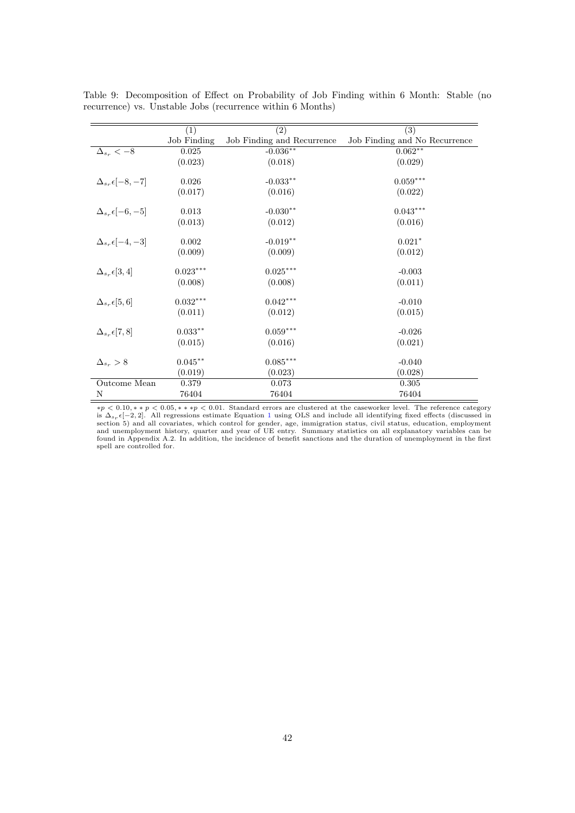|                                  | (1)         | $\overline{(2)}$           | $\overline{(3)}$              |
|----------------------------------|-------------|----------------------------|-------------------------------|
|                                  | Job Finding | Job Finding and Recurrence | Job Finding and No Recurrence |
| $\Delta_{s_r} < -8$              | 0.025       | $-0.036**$                 | $0.062**$                     |
|                                  | (0.023)     | (0.018)                    | (0.029)                       |
|                                  |             |                            |                               |
| $\Delta_{s_r} \epsilon [-8, -7]$ | 0.026       | $-0.033***$                | $0.059***$                    |
|                                  | (0.017)     | (0.016)                    | (0.022)                       |
| $\Delta_{s_r} \epsilon [-6, -5]$ | 0.013       | $-0.030**$                 | $0.043***$                    |
|                                  | (0.013)     | (0.012)                    | (0.016)                       |
| $\Delta_{s_r} \epsilon [-4,-3]$  | 0.002       | $-0.019**$                 | $0.021*$                      |
|                                  | (0.009)     | (0.009)                    | (0.012)                       |
|                                  |             |                            |                               |
| $\Delta_{s_r} \epsilon[3,4]$     | $0.023***$  | $0.025***$                 | $-0.003$                      |
|                                  | (0.008)     | (0.008)                    | (0.011)                       |
| $\Delta_{s_r} \epsilon[5,6]$     | $0.032***$  | $0.042***$                 | $-0.010$                      |
|                                  | (0.011)     | (0.012)                    | (0.015)                       |
|                                  |             |                            |                               |
| $\Delta_{s_r} \epsilon [7, 8]$   | $0.033**$   | $0.059***$                 | $-0.026$                      |
|                                  | (0.015)     | (0.016)                    | (0.021)                       |
| $\Delta_{s_r} > 8$               | $0.045***$  | $0.085***$                 | $-0.040$                      |
|                                  | (0.019)     | (0.023)                    | (0.028)                       |
| Outcome Mean                     | 0.379       | 0.073                      | 0.305                         |
| N                                | 76404       | 76404                      | 76404                         |

<span id="page-43-0"></span>Table 9: Decomposition of Effect on Probability of Job Finding within 6 Month: Stable (no recurrence) vs. Unstable Jobs (recurrence within 6 Months)

 $*p < 0.10, *&p < 0.05, **&p < 0.01$ . Standard errors are clustered at the caseworker level. The reference category is  $\Delta_{s_{\tau}}\epsilon[-2,2]$ . All regressions estimate Equation [1](#page-17-0) using OLS and include all identifying fixed effects (discussed in<br>section 5) and all covariates, which control for gender, age, immigration status, civil status, e spell are controlled for.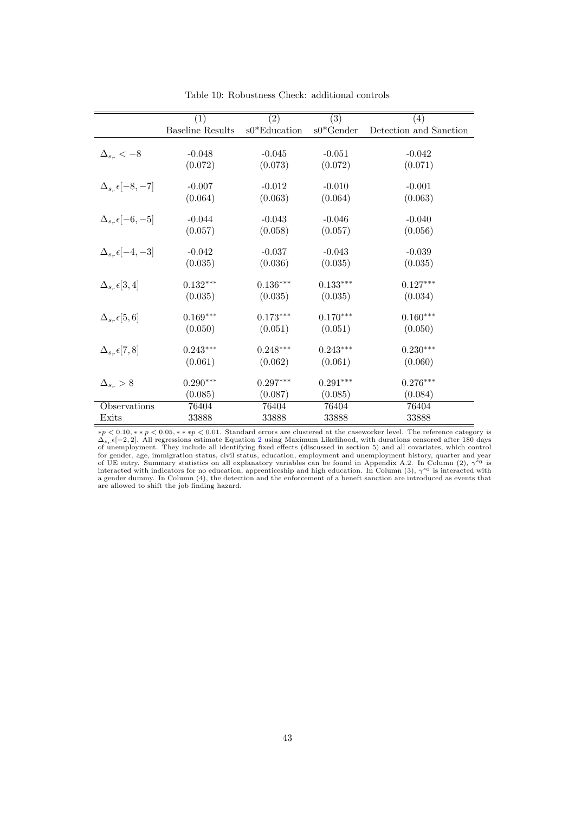<span id="page-44-0"></span>

|                                  | (1)                     | (2)             | $\overline{(3)}$ | (4)                    |
|----------------------------------|-------------------------|-----------------|------------------|------------------------|
|                                  | <b>Baseline Results</b> | $s0*$ Education | $s0*$ Gender     | Detection and Sanction |
|                                  |                         |                 |                  |                        |
| $\Delta_{s_r} < -8$              | $-0.048$                | $-0.045$        | $-0.051$         | $-0.042$               |
|                                  | (0.072)                 | (0.073)         | (0.072)          | (0.071)                |
| $\Delta_{s_r} \epsilon [-8, -7]$ | $-0.007$                | $-0.012$        | $-0.010$         | $-0.001$               |
|                                  | (0.064)                 | (0.063)         | (0.064)          | (0.063)                |
|                                  |                         |                 |                  |                        |
| $\Delta_{s_r} \epsilon [-6, -5]$ | $-0.044$                | $-0.043$        | $-0.046$         | $-0.040$               |
|                                  | (0.057)                 | (0.058)         | (0.057)          | (0.056)                |
|                                  |                         |                 |                  |                        |
| $\Delta_{s_r} \epsilon [-4, -3]$ | $-0.042$                | $-0.037$        | $-0.043$         | $-0.039$               |
|                                  | (0.035)                 | (0.036)         | (0.035)          | (0.035)                |
| $\Delta_{s_r} \epsilon[3,4]$     | $0.132***$              | $0.136***$      | $0.133***$       | $0.127***$             |
|                                  | (0.035)                 | (0.035)         | (0.035)          | (0.034)                |
| $\Delta_{s_r} \epsilon[5,6]$     | $0.169***$              | $0.173***$      | $0.170***$       | $0.160***$             |
|                                  | (0.050)                 | (0.051)         | (0.051)          | (0.050)                |
| $\Delta_{s_r} \epsilon [7, 8]$   | $0.243***$              | $0.248***$      | $0.243***$       | $0.230***$             |
|                                  | (0.061)                 | (0.062)         | (0.061)          | (0.060)                |
|                                  |                         |                 |                  |                        |
| $\Delta_{s_r} > 8$               | $0.290***$              | $0.297***$      | $0.291***$       | $0.276***$             |
|                                  | (0.085)                 | (0.087)         | (0.085)          | (0.084)                |
| Observations                     | 76404                   | 76404           | 76404            | 76404                  |
| Exits                            | 33888                   | 33888           | 33888            | 33888                  |

Table 10: Robustness Check: additional controls

 $*p < 0.10, *p < 0.05, **p < 0.01$ . Standard errors are clustered at the caseworker level. The reference category is  $\Delta_{s_r} \epsilon[-2,2]$  $\Delta_{s_r} \epsilon[-2,2]$  $\Delta_{s_r} \epsilon[-2,2]$ . All regressions estimate Equation 2 using Maximum Likelihood, with durations censored after 180 days<br>of unemployment. They include all identifying fixed effects (discussed in section 5) and all covariates for gender, age, immigration status, civil status, education, employment and unemployment history, quarter and year<br>of UE entry. Summary statistics on all explanatory variables can be found in Appendix A.2. In Column (2), a gender dummy. In Column (4), the detection and the enforcement of a beneft sanction are introduced as events that are allowed to shift the job finding hazard.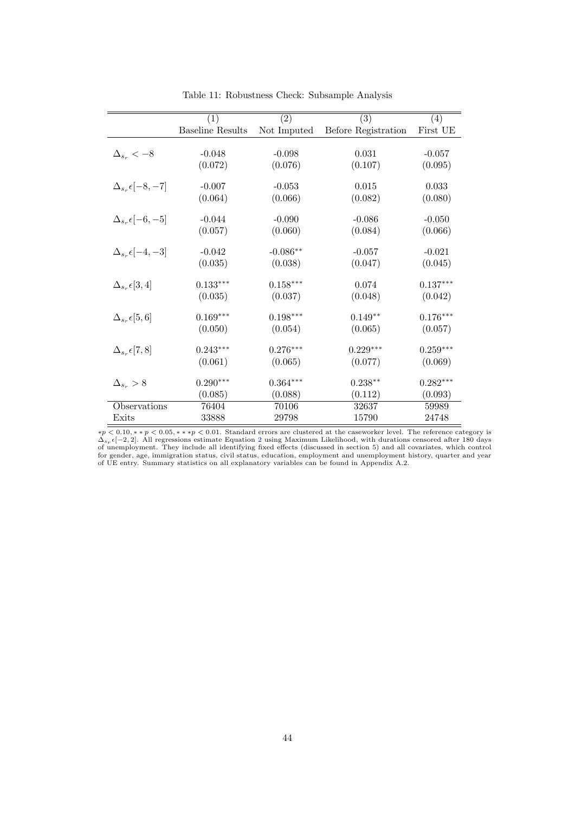<span id="page-45-0"></span>

|                                  | $\left( 1\right)$       | (2)         | (3)                 | (4)        |
|----------------------------------|-------------------------|-------------|---------------------|------------|
|                                  | <b>Baseline Results</b> | Not Imputed | Before Registration | First UE   |
|                                  |                         |             |                     |            |
| $\Delta_{s_r} < -8$              | $-0.048$                | $-0.098$    | 0.031               | $-0.057$   |
|                                  | (0.072)                 | (0.076)     | (0.107)             | (0.095)    |
| $\Delta_{s_r} \epsilon [-8, -7]$ | $-0.007$                | $-0.053$    | 0.015               | 0.033      |
|                                  | (0.064)                 | (0.066)     | (0.082)             | (0.080)    |
|                                  |                         |             |                     |            |
| $\Delta_{s_r} \epsilon [-6, -5]$ | $-0.044$                | $-0.090$    | $-0.086$            | $-0.050$   |
|                                  | (0.057)                 | (0.060)     | (0.084)             | (0.066)    |
|                                  |                         |             |                     |            |
| $\Delta_{s_r} \epsilon [-4, -3]$ | $-0.042$                | $-0.086**$  | $-0.057$            | $-0.021$   |
|                                  | (0.035)                 | (0.038)     | (0.047)             | (0.045)    |
| $\Delta_{s_r} \epsilon [3,4]$    | $0.133***$              | $0.158***$  | 0.074               | $0.137***$ |
|                                  | (0.035)                 | (0.037)     | (0.048)             | (0.042)    |
|                                  |                         |             |                     |            |
| $\Delta_{s_r} \epsilon [5,6]$    | $0.169***$              | $0.198***$  | $0.149**$           | $0.176***$ |
|                                  | (0.050)                 | (0.054)     | (0.065)             | (0.057)    |
| $\Delta_{s_r} \epsilon [7,8]$    | $0.243***$              | $0.276***$  | $0.229***$          | $0.259***$ |
|                                  | (0.061)                 | (0.065)     | (0.077)             | (0.069)    |
|                                  |                         |             |                     |            |
| $\Delta_{s_r} > 8$               | $0.290***$              | $0.364***$  | $0.238**$           | $0.282***$ |
|                                  | (0.085)                 | (0.088)     | (0.112)             | (0.093)    |
| Observations                     | 76404                   | 70106       | 32637               | 59989      |
| Exits                            | 33888                   | 29798       | 15790               | 24748      |

Table 11: Robustness Check: Subsample Analysis

 $*p < 0.10, *p < 0.05, **p < 0.01$ . Standard errors are clustered at the caseworker level. The reference category is  $\Delta_{s_r} \epsilon [-2, 2]$  $\Delta_{s_r} \epsilon [-2, 2]$  $\Delta_{s_r} \epsilon [-2, 2]$ . All regressions estimate Equation 2 using Maximum Likelihood, with durations censored after 180 days of unemployment. They include all identifying fixed effects (discussed in section 5) and all covariate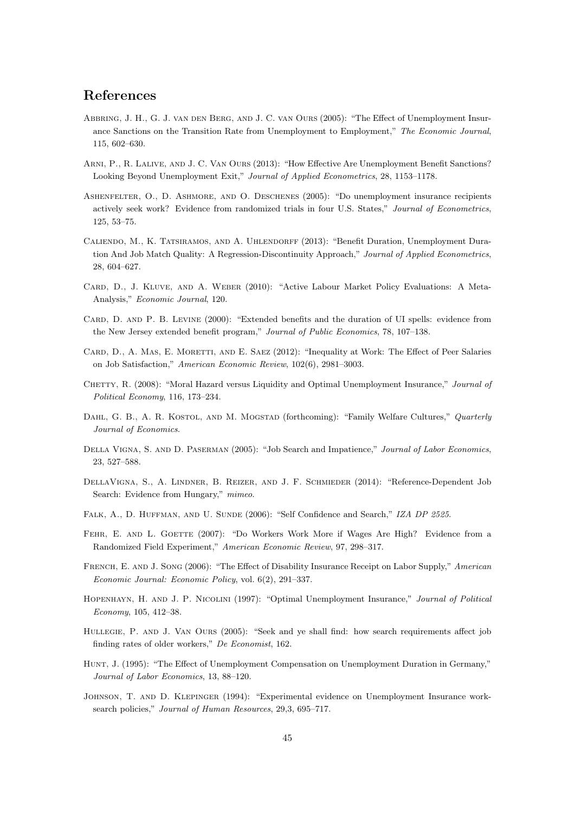## References

- Abbring, J. H., G. J. van den Berg, and J. C. van Ours (2005): "The Effect of Unemployment Insurance Sanctions on the Transition Rate from Unemployment to Employment," The Economic Journal, 115, 602–630.
- Arni, P., R. Lalive, and J. C. Van Ours (2013): "How Effective Are Unemployment Benefit Sanctions? Looking Beyond Unemployment Exit," Journal of Applied Econometrics, 28, 1153–1178.
- Ashenfelter, O., D. Ashmore, and O. Deschenes (2005): "Do unemployment insurance recipients actively seek work? Evidence from randomized trials in four U.S. States," Journal of Econometrics, 125, 53–75.
- CALIENDO, M., K. TATSIRAMOS, AND A. UHLENDORFF (2013): "Benefit Duration, Unemployment Duration And Job Match Quality: A Regression-Discontinuity Approach," Journal of Applied Econometrics, 28, 604–627.
- Card, D., J. Kluve, and A. Weber (2010): "Active Labour Market Policy Evaluations: A Meta-Analysis," Economic Journal, 120.
- CARD, D. AND P. B. LEVINE (2000): "Extended benefits and the duration of UI spells: evidence from the New Jersey extended benefit program," Journal of Public Economics, 78, 107–138.
- CARD, D., A. MAS, E. MORETTI, AND E. SAEZ (2012): "Inequality at Work: The Effect of Peer Salaries on Job Satisfaction," American Economic Review, 102(6), 2981–3003.
- CHETTY, R. (2008): "Moral Hazard versus Liquidity and Optimal Unemployment Insurance," Journal of Political Economy, 116, 173–234.
- DAHL, G. B., A. R. KOSTOL, AND M. MOGSTAD (forthcoming): "Family Welfare Cultures," Quarterly Journal of Economics.
- DELLA VIGNA, S. AND D. PASERMAN (2005): "Job Search and Impatience," Journal of Labor Economics, 23, 527–588.
- DellaVigna, S., A. Lindner, B. Reizer, and J. F. Schmieder (2014): "Reference-Dependent Job Search: Evidence from Hungary," mimeo.
- FALK, A., D. HUFFMAN, AND U. SUNDE (2006): "Self Confidence and Search," IZA DP 2525.
- FEHR, E. AND L. GOETTE (2007): "Do Workers Work More if Wages Are High? Evidence from a Randomized Field Experiment," American Economic Review, 97, 298–317.
- FRENCH, E. AND J. SONG (2006): "The Effect of Disability Insurance Receipt on Labor Supply," American Economic Journal: Economic Policy, vol. 6(2), 291–337.
- Hopenhayn, H. and J. P. Nicolini (1997): "Optimal Unemployment Insurance," Journal of Political Economy, 105, 412–38.
- Hullegie, P. and J. Van Ours (2005): "Seek and ye shall find: how search requirements affect job finding rates of older workers," De Economist, 162.
- Hunt, J. (1995): "The Effect of Unemployment Compensation on Unemployment Duration in Germany," Journal of Labor Economics, 13, 88–120.
- Johnson, T. and D. Klepinger (1994): "Experimental evidence on Unemployment Insurance worksearch policies," Journal of Human Resources, 29,3, 695-717.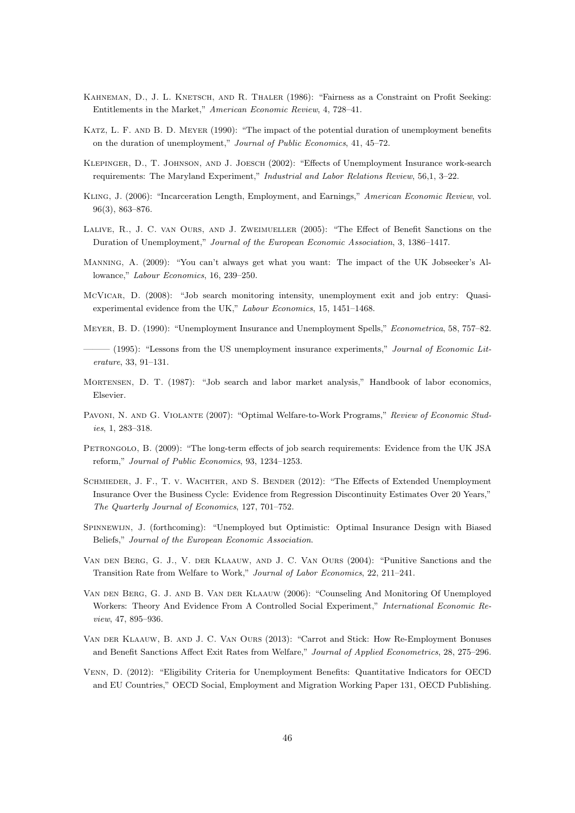- Kahneman, D., J. L. Knetsch, and R. Thaler (1986): "Fairness as a Constraint on Profit Seeking: Entitlements in the Market," American Economic Review, 4, 728–41.
- Katz, L. F. and B. D. Meyer (1990): "The impact of the potential duration of unemployment benefits on the duration of unemployment," Journal of Public Economics, 41, 45–72.
- Klepinger, D., T. Johnson, and J. Joesch (2002): "Effects of Unemployment Insurance work-search requirements: The Maryland Experiment," Industrial and Labor Relations Review, 56,1, 3–22.
- Kling, J. (2006): "Incarceration Length, Employment, and Earnings," American Economic Review, vol. 96(3), 863–876.
- Lalive, R., J. C. van Ours, and J. Zweimueller (2005): "The Effect of Benefit Sanctions on the Duration of Unemployment," Journal of the European Economic Association, 3, 1386–1417.
- Manning, A. (2009): "You can't always get what you want: The impact of the UK Jobseeker's Allowance," Labour Economics, 16, 239–250.
- McVicar, D. (2008): "Job search monitoring intensity, unemployment exit and job entry: Quasiexperimental evidence from the UK," Labour Economics, 15, 1451–1468.
- Meyer, B. D. (1990): "Unemployment Insurance and Unemployment Spells," Econometrica, 58, 757–82.
- $-$  (1995): "Lessons from the US unemployment insurance experiments," Journal of Economic Literature, 33, 91–131.
- Mortensen, D. T. (1987): "Job search and labor market analysis," Handbook of labor economics, Elsevier.
- Pavoni, N. and G. Violante (2007): "Optimal Welfare-to-Work Programs," Review of Economic Studies, 1, 283–318.
- PETRONGOLO, B. (2009): "The long-term effects of job search requirements: Evidence from the UK JSA reform," Journal of Public Economics, 93, 1234–1253.
- SCHMIEDER, J. F., T. V. WACHTER, AND S. BENDER (2012): "The Effects of Extended Unemployment Insurance Over the Business Cycle: Evidence from Regression Discontinuity Estimates Over 20 Years," The Quarterly Journal of Economics, 127, 701–752.
- Spinnewijn, J. (forthcoming): "Unemployed but Optimistic: Optimal Insurance Design with Biased Beliefs," Journal of the European Economic Association.
- Van den Berg, G. J., V. der Klaauw, and J. C. Van Ours (2004): "Punitive Sanctions and the Transition Rate from Welfare to Work," Journal of Labor Economics, 22, 211–241.
- Van den Berg, G. J. and B. Van der Klaauw (2006): "Counseling And Monitoring Of Unemployed Workers: Theory And Evidence From A Controlled Social Experiment," International Economic Review, 47, 895–936.
- Van der Klaauw, B. and J. C. Van Ours (2013): "Carrot and Stick: How Re-Employment Bonuses and Benefit Sanctions Affect Exit Rates from Welfare," Journal of Applied Econometrics, 28, 275–296.
- Venn, D. (2012): "Eligibility Criteria for Unemployment Benefits: Quantitative Indicators for OECD and EU Countries," OECD Social, Employment and Migration Working Paper 131, OECD Publishing.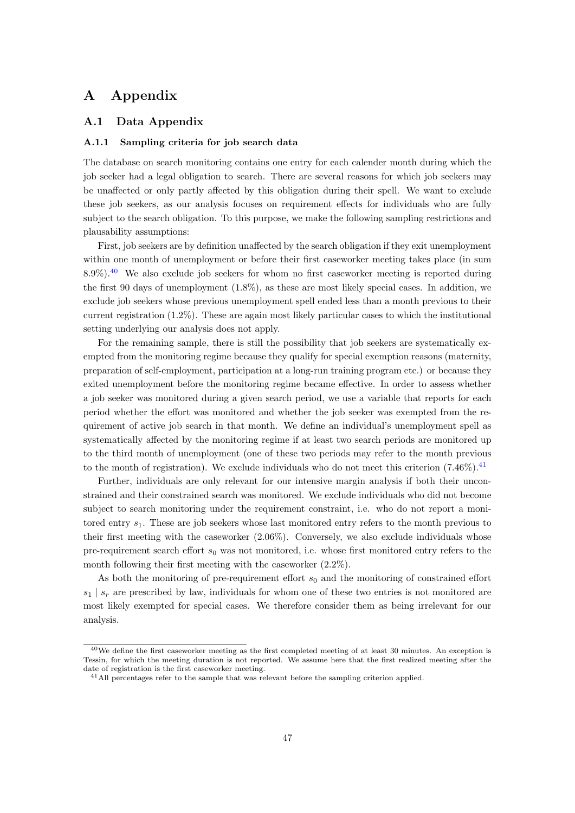## A Appendix

#### A.1 Data Appendix

#### A.1.1 Sampling criteria for job search data

The database on search monitoring contains one entry for each calender month during which the job seeker had a legal obligation to search. There are several reasons for which job seekers may be unaffected or only partly affected by this obligation during their spell. We want to exclude these job seekers, as our analysis focuses on requirement effects for individuals who are fully subject to the search obligation. To this purpose, we make the following sampling restrictions and plausability assumptions:

First, job seekers are by definition unaffected by the search obligation if they exit unemployment within one month of unemployment or before their first caseworker meeting takes place (in sum 8.9%).[40](#page--1-0) We also exclude job seekers for whom no first caseworker meeting is reported during the first 90 days of unemployment (1.8%), as these are most likely special cases. In addition, we exclude job seekers whose previous unemployment spell ended less than a month previous to their current registration (1.2%). These are again most likely particular cases to which the institutional setting underlying our analysis does not apply.

For the remaining sample, there is still the possibility that job seekers are systematically exempted from the monitoring regime because they qualify for special exemption reasons (maternity, preparation of self-employment, participation at a long-run training program etc.) or because they exited unemployment before the monitoring regime became effective. In order to assess whether a job seeker was monitored during a given search period, we use a variable that reports for each period whether the effort was monitored and whether the job seeker was exempted from the requirement of active job search in that month. We define an individual's unemployment spell as systematically affected by the monitoring regime if at least two search periods are monitored up to the third month of unemployment (one of these two periods may refer to the month previous to the month of registration). We exclude individuals who do not meet this criterion  $(7.46\%)$ .<sup>[41](#page--1-0)</sup>

Further, individuals are only relevant for our intensive margin analysis if both their unconstrained and their constrained search was monitored. We exclude individuals who did not become subject to search monitoring under the requirement constraint, i.e. who do not report a monitored entry  $s_1$ . These are job seekers whose last monitored entry refers to the month previous to their first meeting with the caseworker (2.06%). Conversely, we also exclude individuals whose pre-requirement search effort  $s_0$  was not monitored, i.e. whose first monitored entry refers to the month following their first meeting with the caseworker (2.2%).

As both the monitoring of pre-requirement effort  $s_0$  and the monitoring of constrained effort  $s_1 \mid s_r$  are prescribed by law, individuals for whom one of these two entries is not monitored are most likely exempted for special cases. We therefore consider them as being irrelevant for our analysis.

<sup>&</sup>lt;sup>40</sup>We define the first caseworker meeting as the first completed meeting of at least 30 minutes. An exception is Tessin, for which the meeting duration is not reported. We assume here that the first realized meeting after the date of registration is the first caseworker meeting.

<sup>&</sup>lt;sup>41</sup>All percentages refer to the sample that was relevant before the sampling criterion applied.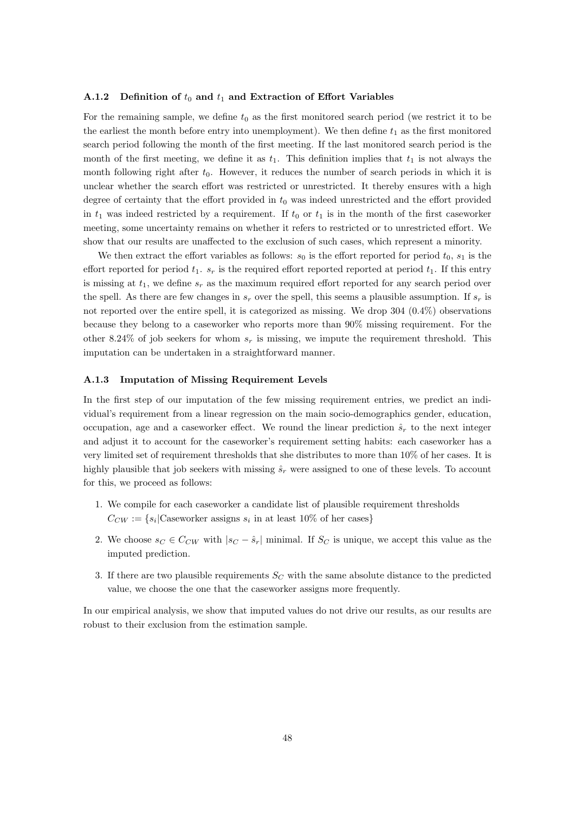#### A.1.2 Definition of  $t_0$  and  $t_1$  and Extraction of Effort Variables

For the remaining sample, we define  $t_0$  as the first monitored search period (we restrict it to be the earliest the month before entry into unemployment). We then define  $t_1$  as the first monitored search period following the month of the first meeting. If the last monitored search period is the month of the first meeting, we define it as  $t_1$ . This definition implies that  $t_1$  is not always the month following right after  $t_0$ . However, it reduces the number of search periods in which it is unclear whether the search effort was restricted or unrestricted. It thereby ensures with a high degree of certainty that the effort provided in  $t_0$  was indeed unrestricted and the effort provided in  $t_1$  was indeed restricted by a requirement. If  $t_0$  or  $t_1$  is in the month of the first caseworker meeting, some uncertainty remains on whether it refers to restricted or to unrestricted effort. We show that our results are unaffected to the exclusion of such cases, which represent a minority.

We then extract the effort variables as follows:  $s_0$  is the effort reported for period  $t_0$ ,  $s_1$  is the effort reported for period  $t_1$ .  $s_r$  is the required effort reported reported at period  $t_1$ . If this entry is missing at  $t_1$ , we define  $s_r$  as the maximum required effort reported for any search period over the spell. As there are few changes in  $s_r$  over the spell, this seems a plausible assumption. If  $s_r$  is not reported over the entire spell, it is categorized as missing. We drop 304 (0.4%) observations because they belong to a caseworker who reports more than 90% missing requirement. For the other 8.24% of job seekers for whom  $s_r$  is missing, we impute the requirement threshold. This imputation can be undertaken in a straightforward manner.

#### A.1.3 Imputation of Missing Requirement Levels

In the first step of our imputation of the few missing requirement entries, we predict an individual's requirement from a linear regression on the main socio-demographics gender, education, occupation, age and a caseworker effect. We round the linear prediction  $\hat{s}_r$  to the next integer and adjust it to account for the caseworker's requirement setting habits: each caseworker has a very limited set of requirement thresholds that she distributes to more than 10% of her cases. It is highly plausible that job seekers with missing  $\hat{s}_r$  were assigned to one of these levels. To account for this, we proceed as follows:

- 1. We compile for each caseworker a candidate list of plausible requirement thresholds  $C_{CW} := \{ s_i | \text{Caseworker assigns } s_i \text{ in at least } 10\% \text{ of her cases} \}$
- 2. We choose  $s_C \in C_{CW}$  with  $|s_C \hat{s}_r|$  minimal. If  $S_C$  is unique, we accept this value as the imputed prediction.
- 3. If there are two plausible requirements  $S_C$  with the same absolute distance to the predicted value, we choose the one that the caseworker assigns more frequently.

In our empirical analysis, we show that imputed values do not drive our results, as our results are robust to their exclusion from the estimation sample.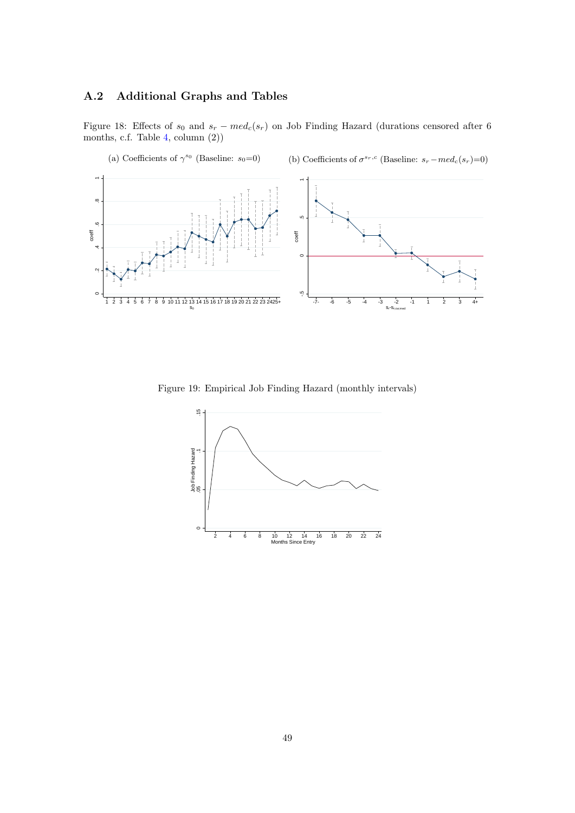### A.2 Additional Graphs and Tables

<span id="page-50-1"></span>Figure 18: Effects of  $s_0$  and  $s_r - med_c(s_r)$  on Job Finding Hazard (durations censored after 6 months, c.f. Table [4,](#page-38-0) column (2))



<span id="page-50-0"></span>Figure 19: Empirical Job Finding Hazard (monthly intervals)

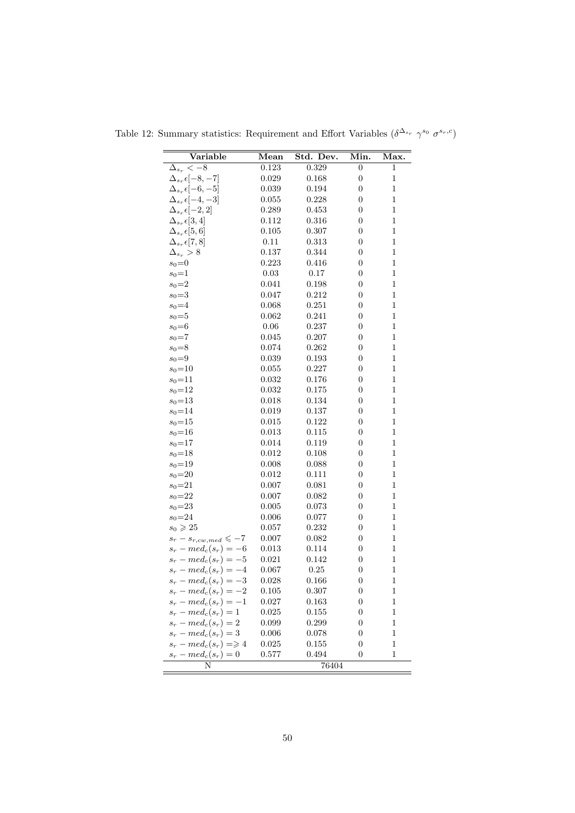| Variable                             | Mean        | Std. Dev. | Min.             | Max.         |
|--------------------------------------|-------------|-----------|------------------|--------------|
| $\Delta_{s_r}$ $\overline{<-8}$      | 0.123       | $0.329\,$ | $\boldsymbol{0}$ | $\mathbf{1}$ |
| $\Delta_{s_r} \epsilon [-8, -7]$     | 0.029       | 0.168     | $\boldsymbol{0}$ | $\mathbf{1}$ |
| $\Delta_{s_r} \epsilon [-6, -5]$     | 0.039       | 0.194     | $\boldsymbol{0}$ | $\mathbf{1}$ |
| $\Delta_{s_r} \epsilon [-4, -3]$     | 0.055       | 0.228     | $\overline{0}$   | $\mathbf 1$  |
| $\Delta_{s_r} \epsilon [-2,2]$       | 0.289       | 0.453     | 0                | $\mathbf 1$  |
| $\Delta_{s_r} \epsilon [3,4]$        | 0.112       | 0.316     | $\boldsymbol{0}$ | 1            |
| $\Delta_{s_r} \epsilon [5,6]$        | 0.105       | 0.307     | $\boldsymbol{0}$ | $\mathbf{1}$ |
| $\Delta_{s_{r}}\epsilon[7,8]$        | 0.11        | 0.313     | 0                | $\mathbf{1}$ |
| $\Delta_{s_r} > 8$                   | 0.137       | 0.344     | $\boldsymbol{0}$ | 1            |
| $s_0=0$                              | 0.223       | 0.416     | $\overline{0}$   | $\mathbf 1$  |
| $s_0=1$                              | 0.03        | $0.17\,$  | 0                | 1            |
| $s_0 = 2$                            | 0.041       | 0.198     | $\boldsymbol{0}$ | 1            |
| $s_0 = 3$                            | 0.047       | 0.212     | $\boldsymbol{0}$ | $\mathbf 1$  |
| $s_0 = 4$                            | 0.068       | 0.251     | $\boldsymbol{0}$ | $\mathbf{1}$ |
| $s_0=5$                              | $\,0.062\,$ | 0.241     | $\boldsymbol{0}$ | $\mathbf{1}$ |
| $s_0 = 6$                            | 0.06        | 0.237     | $\boldsymbol{0}$ | $\mathbf 1$  |
| $s_0 = 7$                            | 0.045       | 0.207     | $\boldsymbol{0}$ | $\mathbf 1$  |
| $s_0 = 8$                            | 0.074       | 0.262     | $\boldsymbol{0}$ | $\mathbf 1$  |
| $s_0=9$                              | 0.039       | 0.193     | $\boldsymbol{0}$ | $\mathbf 1$  |
| $s_0 = 10$                           | 0.055       | 0.227     | $\boldsymbol{0}$ | 1            |
| $s_0 = 11$                           | 0.032       | 0.176     | $\overline{0}$   | $\mathbf 1$  |
| $s_0 = 12$                           | 0.032       | 0.175     | $\boldsymbol{0}$ | 1            |
| $s_0 = 13$                           | 0.018       | 0.134     | $\boldsymbol{0}$ | 1            |
| $s_0 = 14$                           | 0.019       | 0.137     | $\boldsymbol{0}$ | $\mathbf 1$  |
| $s_0 = 15$                           | 0.015       | 0.122     | 0                | 1            |
| $s_0 = 16$                           | 0.013       | 0.115     | $\boldsymbol{0}$ | $\mathbf 1$  |
| $s_0 = 17$                           | 0.014       | 0.119     | $\overline{0}$   | $\mathbf 1$  |
| $s_0 = 18$                           | 0.012       | 0.108     | $\boldsymbol{0}$ | 1            |
| $s_0 = 19$                           | 0.008       | 0.088     | $\boldsymbol{0}$ | $\mathbf 1$  |
| $s_0 = 20$                           | 0.012       | 0.111     | $\boldsymbol{0}$ | $\mathbf 1$  |
| $s_0 = 21$                           | 0.007       | 0.081     | $\boldsymbol{0}$ | 1            |
| $s_0 = 22$                           | 0.007       | 0.082     | $\boldsymbol{0}$ | $\mathbf 1$  |
| $s_0 = 23$                           | 0.005       | 0.073     | $\overline{0}$   | $\mathbf 1$  |
| $s_0 = 24$                           | 0.006       | 0.077     | 0                | 1            |
| $s_0 \geqslant 25$                   | 0.057       | 0.232     | $\boldsymbol{0}$ | 1            |
| $s_r - s_{r,cw,med} \leqslant -7$    | 0.007       | 0.082     | $\boldsymbol{0}$ | $\mathbf 1$  |
| $s_r - med_c(s_r) = -6$              | 0.013       | 0.114     | 0                | $\mathbf{1}$ |
| $s_r - med_c(s_r) = -5$              | 0.021       | 0.142     | $\boldsymbol{0}$ | $\mathbf 1$  |
| $s_r - med_c(s_r) = -4$              | 0.067       | 0.25      | $\boldsymbol{0}$ | $\mathbf 1$  |
| $s_r - med_c(s_r) = -3$              | 0.028       | 0.166     | 0                | 1            |
| $s_r - med_c(s_r) = -2$              | 0.105       | 0.307     | 0                | 1            |
| $s_r - med_c(s_r) = -1$              | 0.027       | 0.163     | $\boldsymbol{0}$ | 1            |
| $s_r - med_c(s_r) = 1$               | 0.025       | $0.155\,$ | 0                | 1            |
| $s_r - med_c(s_r) = 2$               | 0.099       | 0.299     | 0                | 1            |
| $s_r - med_c(s_r) = 3$               | 0.006       | 0.078     | $\boldsymbol{0}$ | 1            |
| $s_r - med_c(s_r) \Longrightarrow 4$ | 0.025       | 0.155     | $\boldsymbol{0}$ | 1            |
| $s_r - med_c(s_r) = 0$               | 0.577       | 0.494     | $\boldsymbol{0}$ | $\mathbf 1$  |
| N                                    |             | 76404     |                  |              |

<span id="page-51-0"></span>Table 12: Summary statistics: Requirement and Effort Variables  $(\delta^{\Delta_{s_r}} \gamma^{s_0} \sigma^{s_r,c})$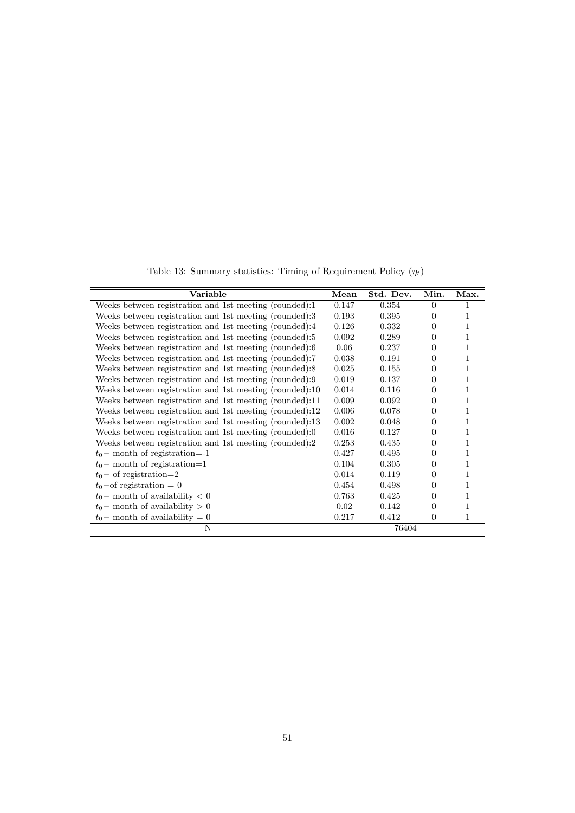Table 13: Summary statistics: Timing of Requirement Policy  $(\eta_t)$ 

<span id="page-52-0"></span>

| Variable                                                | Mean  | Std. Dev. | Min.     | Max. |
|---------------------------------------------------------|-------|-----------|----------|------|
| Weeks between registration and 1st meeting (rounded):1  | 0.147 | 0.354     | $\Omega$ |      |
| Weeks between registration and 1st meeting (rounded):3  | 0.193 | 0.395     | $\Omega$ | 1    |
| Weeks between registration and 1st meeting (rounded):4  | 0.126 | 0.332     | 0        | 1    |
| Weeks between registration and 1st meeting (rounded):5  | 0.092 | 0.289     | $\Omega$ |      |
| Weeks between registration and 1st meeting (rounded):6  | 0.06  | 0.237     | 0        |      |
| Weeks between registration and 1st meeting (rounded):7  | 0.038 | 0.191     | $\Omega$ | 1    |
| Weeks between registration and 1st meeting (rounded):8  | 0.025 | 0.155     | $\Omega$ | 1    |
| Weeks between registration and 1st meeting (rounded):9  | 0.019 | 0.137     | 0        | 1    |
| Weeks between registration and 1st meeting (rounded):10 | 0.014 | 0.116     | 0        | 1    |
| Weeks between registration and 1st meeting (rounded):11 | 0.009 | 0.092     | 0        | 1    |
| Weeks between registration and 1st meeting (rounded):12 | 0.006 | 0.078     | $\Omega$ | 1    |
| Weeks between registration and 1st meeting (rounded):13 | 0.002 | 0.048     | 0        | 1    |
| Weeks between registration and 1st meeting (rounded):0  | 0.016 | 0.127     | $\Omega$ | 1    |
| Weeks between registration and 1st meeting (rounded):2  | 0.253 | 0.435     | 0        | 1    |
| $t_0$ – month of registration=-1                        | 0.427 | 0.495     | 0        | 1    |
| $t_0$ – month of registration=1                         | 0.104 | 0.305     | 0        |      |
| $t_0$ – of registration=2                               | 0.014 | 0.119     | ∩        |      |
| $t_0$ -of registration = 0                              | 0.454 | 0.498     | 0        |      |
| $t_0$ – month of availability $< 0$                     | 0.763 | 0.425     | $\theta$ |      |
| $t_0$ – month of availability $> 0$                     | 0.02  | 0.142     | 0        | 1    |
| $t_0$ – month of availability = 0                       | 0.217 | 0.412     | $\theta$ | 1    |
| N                                                       |       | 76404     |          |      |